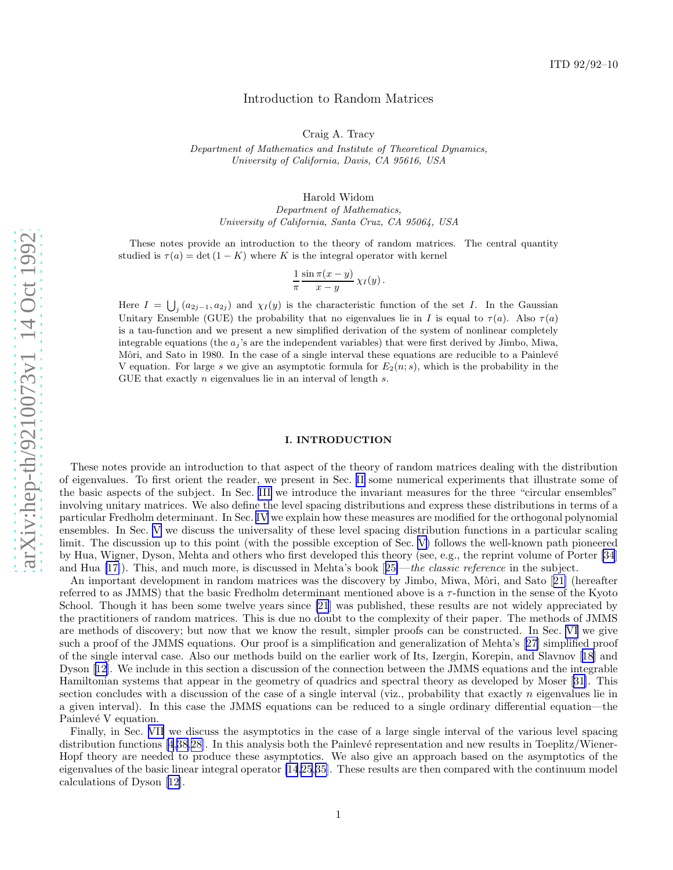# Introduction to Random Matrices

Craig A. Tracy

*Department of Mathematics and Institute of Theoretical Dynamics, University of California, Davis, CA 95616, USA*

Harold Widom

*Department of Mathematics, University of California, Santa Cruz, CA 95064, USA*

These notes provide an introduction to the theory of random matrices. The central quantity studied is  $\tau(a) = \det(1 - K)$  where K is the integral operator with kernel

$$
\frac{1}{\pi} \frac{\sin \pi (x-y)}{x-y} \chi_I(y) .
$$

Here  $I = \bigcup_j (a_{2j-1}, a_{2j})$  and  $\chi_I(y)$  is the characteristic function of the set I. In the Gaussian Unitary Ensemble (GUE) the probability that no eigenvalues lie in I is equal to  $\tau(a)$ . Also  $\tau(a)$ is a tau-function and we present a new simplified derivation of the system of nonlinear completely integrable equations (the  $a_j$ 's are the independent variables) that were first derived by Jimbo, Miwa, Môri, and Sato in 1980. In the case of a single interval these equations are reducible to a Painlevé V equation. For large s we give an asymptotic formula for  $E_2(n; s)$ , which is the probability in the GUE that exactly *n* eigenvalues lie in an interval of length *s*.

## I. INTRODUCTION

These notes provide an introduction to that aspect of the theory of random matrices dealing with the distribution of eigenvalues. To first orient the reader, we present in Sec. [II](#page-1-0) some numerical experiments that illustrate some of the basic aspects of the subject. In Sec. [III](#page-1-0) we introduce the invariant measures for the three "circular ensembles" involving unitary matrices. We also define the level spacing distributions and express these distributions in terms of a particular Fredholm determinant. In Sec. [IV](#page-8-0) we explain how these measures are modified for the orthogonal polynomial ensembles. In Sec. [V](#page-9-0) we discuss the universality of these level spacing distribution functions in a particular scaling limit. The discussion up to this point (with the possible exception of Sec. [V\)](#page-9-0) follows the well-known path pioneered by Hua, Wigner, Dyson, Mehta and others who first developed this theory (see, e.g., the reprint volume of Porter [\[34](#page-22-0)] and Hua [\[17\]](#page-21-0)).This, and much more, is discussed in Mehta's book [[25\]](#page-21-0)—the classic reference in the subject.

Animportant development in random matrices was the discovery by Jimbo, Miwa, Môri, and Sato [[21\]](#page-21-0) (hereafter referred to as JMMS) that the basic Fredholm determinant mentioned above is a τ-function in the sense of the Kyoto School. Though it has been some twelve years since [\[21](#page-21-0)] was published, these results are not widely appreciated by the practitioners of random matrices. This is due no doubt to the complexity of their paper. The methods of JMMS are methods of discovery; but now that we know the result, simpler proofs can be constructed. In Sec. [VI](#page-9-0) we give such a proof of the JMMS equations. Our proof is a simplification and generalization of Mehta's[[27\]](#page-21-0) simplified proof of the single interval case. Also our methods build on the earlier work of Its, Izergin, Korepin, and Slavnov[[18](#page-21-0)] and Dyson [\[12](#page-21-0)]. We include in this section a discussion of the connection between the JMMS equations and the integrable Hamiltonian systems that appear in the geometry of quadrics and spectral theory as developed by Moser [\[31](#page-22-0)]. This section concludes with a discussion of the case of a single interval (viz., probability that exactly n eigenvalues lie in a given interval). In this case the JMMS equations can be reduced to a single ordinary differential equation—the Painlevé V equation.

Finally, in Sec. [VII](#page-16-0) we discuss the asymptotics in the case of a large single interval of the various level spacing distribution functions [\[4](#page-21-0),[38](#page-22-0),[28\]](#page-21-0). In this analysis both the Painlevé representation and new results in Toeplitz/Wiener-Hopf theory are needed to produce these asymptotics. We also give an approach based on the asymptotics of the eigenvalues of the basic linear integral operator [\[14,25](#page-21-0)[,35](#page-22-0)]. These results are then compared with the continuum model calculations of Dyson [\[12](#page-21-0)].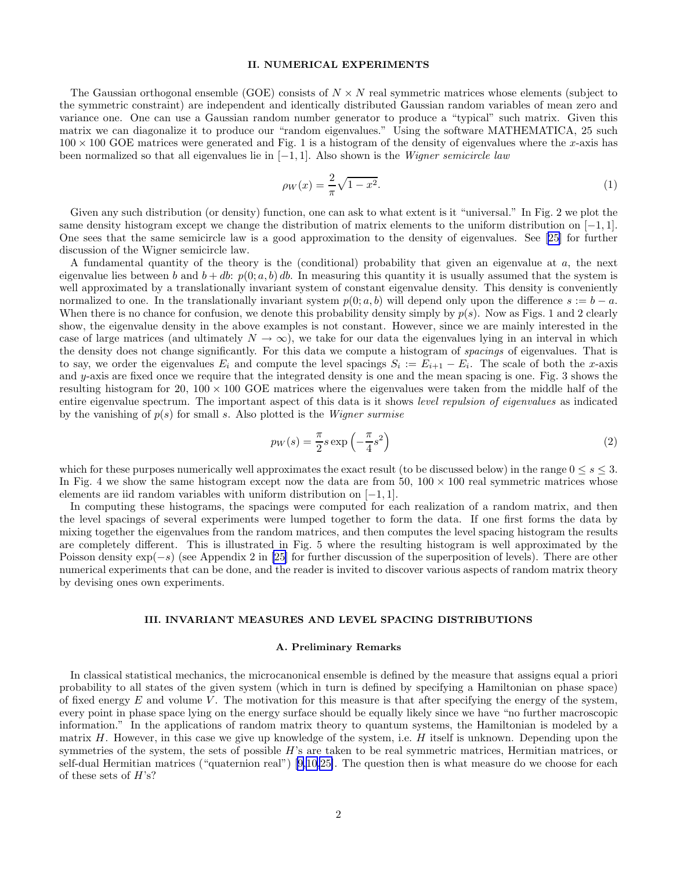## II. NUMERICAL EXPERIMENTS

<span id="page-1-0"></span>The Gaussian orthogonal ensemble (GOE) consists of  $N \times N$  real symmetric matrices whose elements (subject to the symmetric constraint) are independent and identically distributed Gaussian random variables of mean zero and variance one. One can use a Gaussian random number generator to produce a "typical" such matrix. Given this matrix we can diagonalize it to produce our "random eigenvalues." Using the software MATHEMATICA, 25 such  $100 \times 100$  GOE matrices were generated and Fig. 1 is a histogram of the density of eigenvalues where the x-axis has been normalized so that all eigenvalues lie in  $[-1, 1]$ . Also shown is the *Wigner semicircle law* 

$$
\rho_W(x) = \frac{2}{\pi} \sqrt{1 - x^2}.
$$
\n(1)

Given any such distribution (or density) function, one can ask to what extent is it "universal." In Fig. 2 we plot the same density histogram except we change the distribution of matrix elements to the uniform distribution on [−1, 1]. One sees that the same semicircle law is a good approximation to the density of eigenvalues. See[[25\]](#page-21-0) for further discussion of the Wigner semicircle law.

A fundamental quantity of the theory is the (conditional) probability that given an eigenvalue at a, the next eigenvalue lies between b and  $b + db$ :  $p(0; a, b) db$ . In measuring this quantity it is usually assumed that the system is well approximated by a translationally invariant system of constant eigenvalue density. This density is conveniently normalized to one. In the translationally invariant system  $p(0; a, b)$  will depend only upon the difference  $s := b - a$ . When there is no chance for confusion, we denote this probability density simply by  $p(s)$ . Now as Figs. 1 and 2 clearly show, the eigenvalue density in the above examples is not constant. However, since we are mainly interested in the case of large matrices (and ultimately  $N \to \infty$ ), we take for our data the eigenvalues lying in an interval in which the density does not change significantly. For this data we compute a histogram of spacings of eigenvalues. That is to say, we order the eigenvalues  $E_i$  and compute the level spacings  $S_i := E_{i+1} - E_i$ . The scale of both the x-axis and y-axis are fixed once we require that the integrated density is one and the mean spacing is one. Fig. 3 shows the resulting histogram for 20,  $100 \times 100$  GOE matrices where the eigenvalues were taken from the middle half of the entire eigenvalue spectrum. The important aspect of this data is it shows level repulsion of eigenvalues as indicated by the vanishing of  $p(s)$  for small s. Also plotted is the *Wigner surmise* 

$$
p_W(s) = \frac{\pi}{2} s \exp\left(-\frac{\pi}{4}s^2\right) \tag{2}
$$

which for these purposes numerically well approximates the exact result (to be discussed below) in the range  $0 \leq s \leq 3$ . In Fig. 4 we show the same histogram except now the data are from  $50$ ,  $100 \times 100$  real symmetric matrices whose elements are iid random variables with uniform distribution on [−1, 1].

In computing these histograms, the spacings were computed for each realization of a random matrix, and then the level spacings of several experiments were lumped together to form the data. If one first forms the data by mixing together the eigenvalues from the random matrices, and then computes the level spacing histogram the results are completely different. This is illustrated in Fig. 5 where the resulting histogram is well approximated by the Poisson density exp(−s) (see Appendix 2 in [\[25\]](#page-21-0) for further discussion of the superposition of levels). There are other numerical experiments that can be done, and the reader is invited to discover various aspects of random matrix theory by devising ones own experiments.

### III. INVARIANT MEASURES AND LEVEL SPACING DISTRIBUTIONS

## A. Preliminary Remarks

In classical statistical mechanics, the microcanonical ensemble is defined by the measure that assigns equal a priori probability to all states of the given system (which in turn is defined by specifying a Hamiltonian on phase space) of fixed energy  $E$  and volume  $V$ . The motivation for this measure is that after specifying the energy of the system, every point in phase space lying on the energy surface should be equally likely since we have "no further macroscopic information." In the applications of random matrix theory to quantum systems, the Hamiltonian is modeled by a matrix  $H$ . However, in this case we give up knowledge of the system, i.e.  $H$  itself is unknown. Depending upon the symmetries of the system, the sets of possible  $H$ 's are taken to be real symmetric matrices, Hermitian matrices, or self-dual Hermitian matrices ("quaternion real")[[9,10,25\]](#page-21-0). The question then is what measure do we choose for each of these sets of  $H$ 's?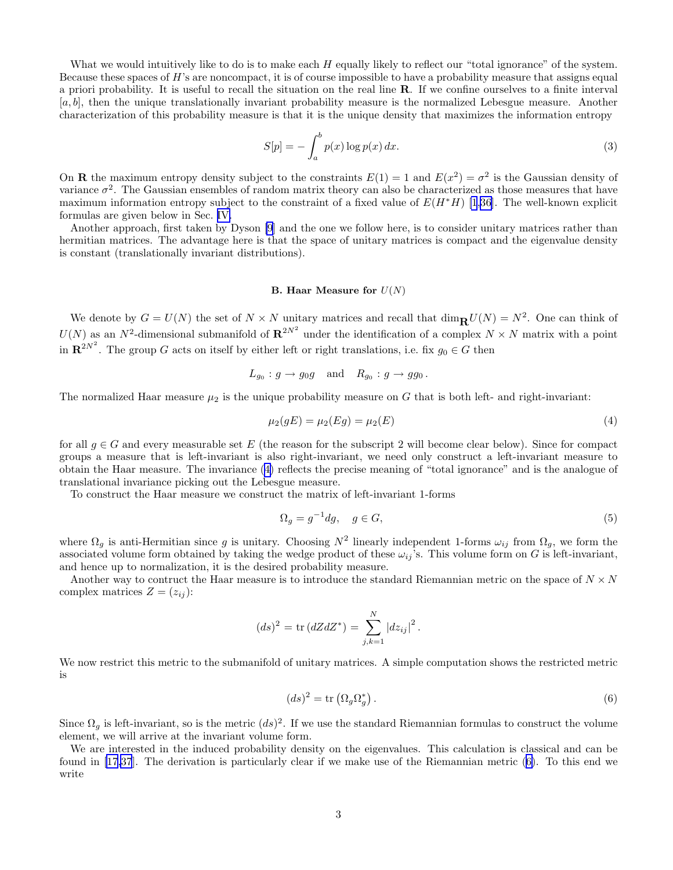<span id="page-2-0"></span>What we would intuitively like to do is to make each  $H$  equally likely to reflect our "total ignorance" of the system. Because these spaces of  $H$ 's are noncompact, it is of course impossible to have a probability measure that assigns equal a priori probability. It is useful to recall the situation on the real line  $\bf R$ . If we confine ourselves to a finite interval  $[a, b]$ , then the unique translationally invariant probability measure is the normalized Lebesgue measure. Another characterization of this probability measure is that it is the unique density that maximizes the information entropy

$$
S[p] = -\int_{a}^{b} p(x) \log p(x) dx.
$$
 (3)

On **R** the maximum entropy density subject to the constraints  $E(1) = 1$  and  $E(x^2) = \sigma^2$  is the Gaussian density of variance  $\sigma^2$ . The Gaussian ensembles of random matrix theory can also be characterized as those measures that have maximum information entropy subject to the constraint of a fixed value of  $E(H^*H)$  [\[1](#page-21-0)[,36](#page-22-0)]. The well-known explicit formulas are given below in Sec. [IV.](#page-8-0)

Another approach, first taken by Dyson [\[9](#page-21-0)] and the one we follow here, is to consider unitary matrices rather than hermitian matrices. The advantage here is that the space of unitary matrices is compact and the eigenvalue density is constant (translationally invariant distributions).

## B. Haar Measure for  $U(N)$

We denote by  $G = U(N)$  the set of  $N \times N$  unitary matrices and recall that  $\dim_{\mathbf{R}} U(N) = N^2$ . One can think of  $U(N)$  as an  $N^2$ -dimensional submanifold of  $\mathbb{R}^{2N^2}$  under the identification of a complex  $N \times N$  matrix with a point in  $\mathbb{R}^{2N^2}$ . The group G acts on itself by either left or right translations, i.e. fix  $g_0 \in G$  then

$$
L_{g_0}: g \to g_0g
$$
 and  $R_{g_0}: g \to g g_0$ .

The normalized Haar measure  $\mu_2$  is the unique probability measure on G that is both left- and right-invariant:

$$
\mu_2(gE) = \mu_2(Eg) = \mu_2(E) \tag{4}
$$

for all  $g \in G$  and every measurable set E (the reason for the subscript 2 will become clear below). Since for compact groups a measure that is left-invariant is also right-invariant, we need only construct a left-invariant measure to obtain the Haar measure. The invariance (4) reflects the precise meaning of "total ignorance" and is the analogue of translational invariance picking out the Lebesgue measure.

To construct the Haar measure we construct the matrix of left-invariant 1-forms

$$
\Omega_g = g^{-1} dg, \quad g \in G,\tag{5}
$$

where  $\Omega_g$  is anti-Hermitian since g is unitary. Choosing  $N^2$  linearly independent 1-forms  $\omega_{ij}$  from  $\Omega_g$ , we form the associated volume form obtained by taking the wedge product of these  $\omega_{ij}$ 's. This volume form on G is left-invariant, and hence up to normalization, it is the desired probability measure.

Another way to contruct the Haar measure is to introduce the standard Riemannian metric on the space of  $N \times N$ complex matrices  $Z = (z_{ij})$ :

$$
(ds)^{2} = \text{tr}(dZdZ^{*}) = \sum_{j,k=1}^{N} |dz_{ij}|^{2}.
$$

We now restrict this metric to the submanifold of unitary matrices. A simple computation shows the restricted metric is

$$
(ds)^2 = \text{tr}\left(\Omega_g \Omega_g^*\right). \tag{6}
$$

Since  $\Omega_g$  is left-invariant, so is the metric  $(ds)^2$ . If we use the standard Riemannian formulas to construct the volume element, we will arrive at the invariant volume form.

We are interested in the induced probability density on the eigenvalues. This calculation is classical and can be found in [\[17](#page-21-0)[,37](#page-22-0)]. The derivation is particularly clear if we make use of the Riemannian metric (6). To this end we write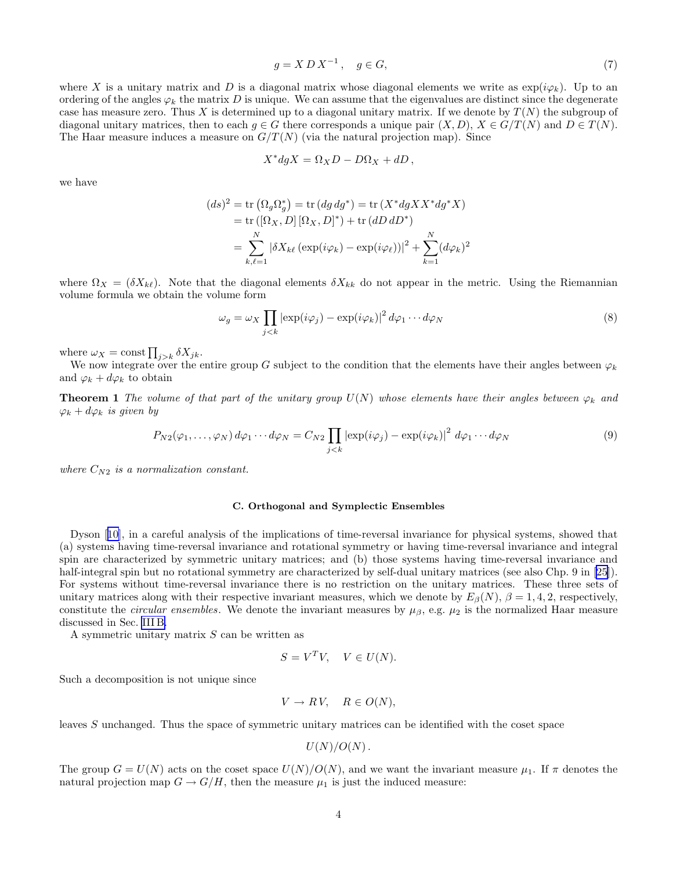$$
g = X D X^{-1}, \quad g \in G,\tag{7}
$$

where X is a unitary matrix and D is a diagonal matrix whose diagonal elements we write as  $\exp(i\varphi_k)$ . Up to an ordering of the angles  $\varphi_k$  the matrix D is unique. We can assume that the eigenvalues are distinct since the degenerate case has measure zero. Thus X is determined up to a diagonal unitary matrix. If we denote by  $T(N)$  the subgroup of diagonal unitary matrices, then to each  $g \in G$  there corresponds a unique pair  $(X, D)$ ,  $X \in G/T(N)$  and  $D \in T(N)$ . The Haar measure induces a measure on  $G/T(N)$  (via the natural projection map). Since

$$
X^* dg X = \Omega_X D - D\Omega_X + dD,
$$

we have

$$
(ds)^2 = \text{tr}(\Omega_g \Omega_g^*) = \text{tr}(dg dg^*) = \text{tr}(X^* dg X X^* dg^* X)
$$
  
= tr([ $\Omega_X, D$ ][ $\Omega_X, D$ ]<sup>\*</sup>) + tr( $dD dD^*$ )  
= 
$$
\sum_{k,\ell=1}^N |\delta X_{k\ell} (\exp(i\varphi_k) - \exp(i\varphi_\ell))|^2 + \sum_{k=1}^N (d\varphi_k)^2
$$

where  $\Omega_X = (\delta X_{k\ell})$ . Note that the diagonal elements  $\delta X_{kk}$  do not appear in the metric. Using the Riemannian volume formula we obtain the volume form

$$
\omega_g = \omega_X \prod_{j < k} \left| \exp(i\varphi_j) - \exp(i\varphi_k) \right|^2 d\varphi_1 \cdots d\varphi_N \tag{8}
$$

where  $\omega_X = \text{const} \prod_{j>k} \delta X_{jk}.$ 

We now integrate over the entire group G subject to the condition that the elements have their angles between  $\varphi_k$ and  $\varphi_k + d\varphi_k$  to obtain

**Theorem 1** The volume of that part of the unitary group  $U(N)$  whose elements have their angles between  $\varphi_k$  and  $\varphi_k + d\varphi_k$  is given by

$$
P_{N2}(\varphi_1,\ldots,\varphi_N) d\varphi_1 \cdots d\varphi_N = C_{N2} \prod_{j < k} \left| \exp(i\varphi_j) - \exp(i\varphi_k) \right|^2 d\varphi_1 \cdots d\varphi_N \tag{9}
$$

where  $C_{N2}$  is a normalization constant.

# C. Orthogonal and Symplectic Ensembles

Dyson[[10\]](#page-21-0), in a careful analysis of the implications of time-reversal invariance for physical systems, showed that (a) systems having time-reversal invariance and rotational symmetry or having time-reversal invariance and integral spin are characterized by symmetric unitary matrices; and (b) those systems having time-reversal invariance and half-integralspin but no rotational symmetry are characterized by self-dual unitary matrices (see also Chp. 9 in [[25\]](#page-21-0)). For systems without time-reversal invariance there is no restriction on the unitary matrices. These three sets of unitary matrices along with their respective invariant measures, which we denote by  $E_\beta(N)$ ,  $\beta = 1, 4, 2$ , respectively, constitute the *circular ensembles*. We denote the invariant measures by  $\mu_{\beta}$ , e.g.  $\mu_2$  is the normalized Haar measure discussed in Sec. [III B.](#page-2-0)

A symmetric unitary matrix  $S$  can be written as

$$
S = V^T V, \quad V \in U(N).
$$

Such a decomposition is not unique since

$$
V \to RV, \quad R \in O(N),
$$

leaves S unchanged. Thus the space of symmetric unitary matrices can be identified with the coset space

$$
U(N)/O(N)\,.
$$

The group  $G = U(N)$  acts on the coset space  $U(N)/O(N)$ , and we want the invariant measure  $\mu_1$ . If  $\pi$  denotes the natural projection map  $G \to G/H$ , then the measure  $\mu_1$  is just the induced measure: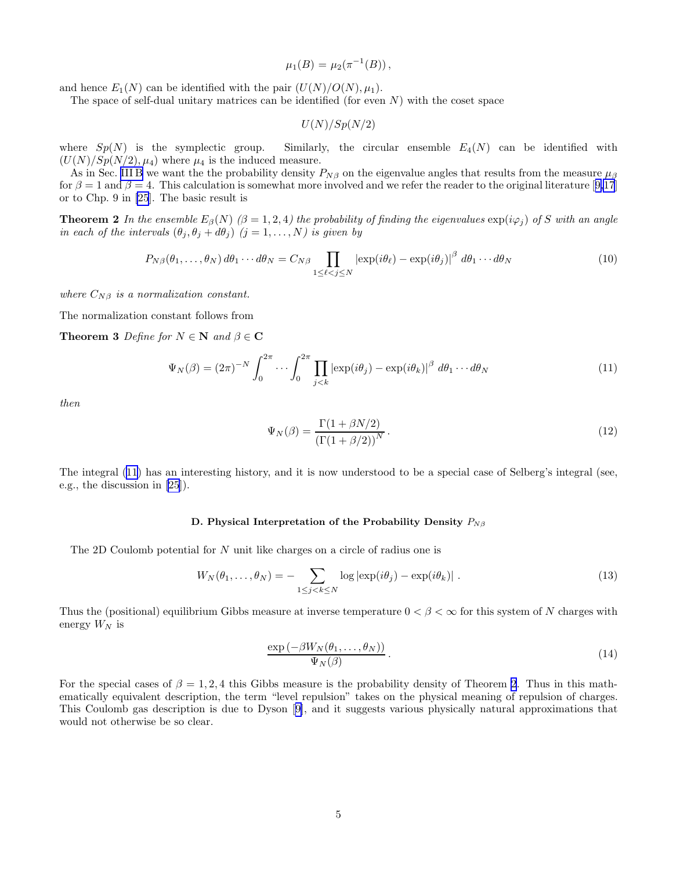$$
\mu_1(B) = \mu_2(\pi^{-1}(B)),
$$

and hence  $E_1(N)$  can be identified with the pair  $(U(N)/O(N), \mu_1)$ .

The space of self-dual unitary matrices can be identified (for even  $N$ ) with the coset space

$$
U(N)/Sp(N/2)
$$

where  $Sp(N)$  is the symplectic group. Similarly, the circular ensemble  $E_4(N)$  can be identified with  $(U(N)/Sp(N/2), \mu_4)$  where  $\mu_4$  is the induced measure.

As in Sec. [III B](#page-2-0) we want the the probability density  $P_{N\beta}$  on the eigenvalue angles that results from the measure  $\mu_{\beta}$ for $\beta = 1$  and  $\beta = 4$ . This calculation is somewhat more involved and we refer the reader to the original literature [[9,17](#page-21-0)] or to Chp. 9 in [\[25](#page-21-0)]. The basic result is

**Theorem 2** In the ensemble  $E_\beta(N)$  ( $\beta = 1, 2, 4$ ) the probability of finding the eigenvalues  $\exp(i\varphi_i)$  of S with an angle in each of the intervals  $(\theta_j, \theta_j + d\theta_j)$   $(j = 1, ..., N)$  is given by

$$
P_{N\beta}(\theta_1,\ldots,\theta_N) d\theta_1 \cdots d\theta_N = C_{N\beta} \prod_{1 \leq \ell < j \leq N} \left| \exp(i\theta_\ell) - \exp(i\theta_j) \right|^\beta d\theta_1 \cdots d\theta_N \tag{10}
$$

where  $C_{N\beta}$  is a normalization constant.

The normalization constant follows from

**Theorem 3** Define for  $N \in \mathbb{N}$  and  $\beta \in \mathbb{C}$ 

$$
\Psi_N(\beta) = (2\pi)^{-N} \int_0^{2\pi} \dots \int_0^{2\pi} \prod_{j < k} \left| \exp(i\theta_j) - \exp(i\theta_k) \right|^{\beta} d\theta_1 \dots d\theta_N \tag{11}
$$

then

$$
\Psi_N(\beta) = \frac{\Gamma(1 + \beta N/2)}{\left(\Gamma(1 + \beta/2)\right)^N}.\tag{12}
$$

The integral (11) has an interesting history, and it is now understood to be a special case of Selberg's integral (see, e.g., the discussion in [\[25](#page-21-0)]).

### D. Physical Interpretation of the Probability Density  $P_{N\beta}$

The 2D Coulomb potential for N unit like charges on a circle of radius one is

$$
W_N(\theta_1,\ldots,\theta_N) = -\sum_{1 \le j < k \le N} \log |\exp(i\theta_j) - \exp(i\theta_k)| \tag{13}
$$

Thus the (positional) equilibrium Gibbs measure at inverse temperature  $0 < \beta < \infty$  for this system of N charges with energy  $W_N$  is

$$
\frac{\exp\left(-\beta W_N(\theta_1,\ldots,\theta_N)\right)}{\Psi_N(\beta)}.
$$
\n(14)

For the special cases of  $\beta = 1, 2, 4$  this Gibbs measure is the probability density of Theorem 2. Thus in this mathematically equivalent description, the term "level repulsion" takes on the physical meaning of repulsion of charges. This Coulomb gas description is due to Dyson[[9\]](#page-21-0), and it suggests various physically natural approximations that would not otherwise be so clear.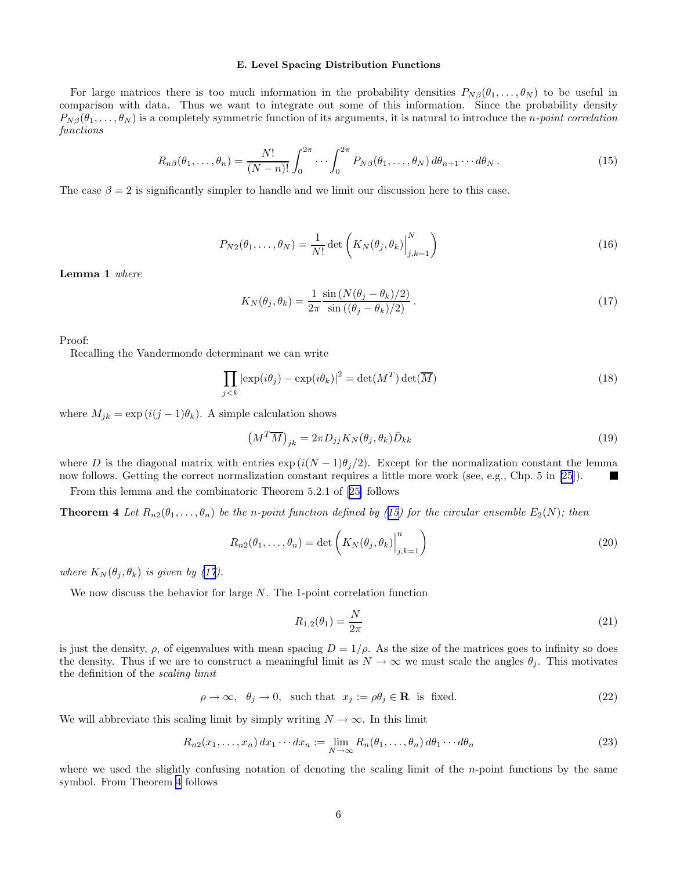### E. Level Spacing Distribution Functions

<span id="page-5-0"></span>For large matrices there is too much information in the probability densities  $P_{N\beta}(\theta_1,\ldots,\theta_N)$  to be useful in comparison with data. Thus we want to integrate out some of this information. Since the probability density  $P_{N\beta}(\theta_1,\ldots,\theta_N)$  is a completely symmetric function of its arguments, it is natural to introduce the *n-point correlation* functions

$$
R_{n\beta}(\theta_1,\ldots,\theta_n) = \frac{N!}{(N-n)!} \int_0^{2\pi} \cdots \int_0^{2\pi} P_{N\beta}(\theta_1,\ldots,\theta_N) d\theta_{n+1}\cdots d\theta_N.
$$
 (15)

The case  $\beta = 2$  is significantly simpler to handle and we limit our discussion here to this case.

$$
P_{N2}(\theta_1,\ldots,\theta_N) = \frac{1}{N!} \det\left(K_N(\theta_j,\theta_k)\Big|_{j,k=1}^N\right)
$$
\n(16)

Lemma 1 where

$$
K_N(\theta_j, \theta_k) = \frac{1}{2\pi} \frac{\sin\left(N(\theta_j - \theta_k)/2\right)}{\sin\left((\theta_j - \theta_k)/2\right)}.
$$
\n(17)

Proof:

Recalling the Vandermonde determinant we can write

$$
\prod_{j < k} |\exp(i\theta_j) - \exp(i\theta_k)|^2 = \det(M^T) \det(\overline{M}) \tag{18}
$$

where  $M_{ik} = \exp(i(j-1)\theta_k)$ . A simple calculation shows

$$
\left(M^T \overline{M}\right)_{jk} = 2\pi D_{jj} K_N(\theta_j, \theta_k) \overline{D}_{kk} \tag{19}
$$

where D is the diagonal matrix with entries  $\exp(i(N-1)\theta_j/2)$ . Except for the normalization constant the lemma now follows. Getting the correct normalization constant requires a little more work (see, e.g., Chp. 5 in [25]). now follows. Getting the correct normalization constant requires a little more work (see, e.g., Chp. 5 in [\[25](#page-21-0)]).

From this lemma and the combinatoric Theorem 5.2.1 of[[25\]](#page-21-0) follows

**Theorem 4** Let  $R_{n2}(\theta_1,\ldots,\theta_n)$  be the n-point function defined by (15) for the circular ensemble  $E_2(N)$ ; then

$$
R_{n2}(\theta_1,\ldots,\theta_n) = \det\left(K_N(\theta_j,\theta_k)\Big|_{j,k=1}^n\right)
$$
\n(20)

where  $K_N(\theta_j, \theta_k)$  is given by (17).

We now discuss the behavior for large  $N$ . The 1-point correlation function

$$
R_{1,2}(\theta_1) = \frac{N}{2\pi} \tag{21}
$$

is just the density,  $\rho$ , of eigenvalues with mean spacing  $D = 1/\rho$ . As the size of the matrices goes to infinity so does the density. Thus if we are to construct a meaningful limit as  $N \to \infty$  we must scale the angles  $\theta_i$ . This motivates the definition of the scaling limit

$$
\rho \to \infty, \quad \theta_j \to 0, \quad \text{such that} \quad x_j := \rho \theta_j \in \mathbf{R} \quad \text{is fixed.} \tag{22}
$$

We will abbreviate this scaling limit by simply writing  $N \to \infty$ . In this limit

$$
R_{n2}(x_1,\ldots,x_n) dx_1 \cdots dx_n := \lim_{N \to \infty} R_n(\theta_1,\ldots,\theta_n) d\theta_1 \cdots d\theta_n
$$
\n(23)

where we used the slightly confusing notation of denoting the scaling limit of the n-point functions by the same symbol. From Theorem 4 follows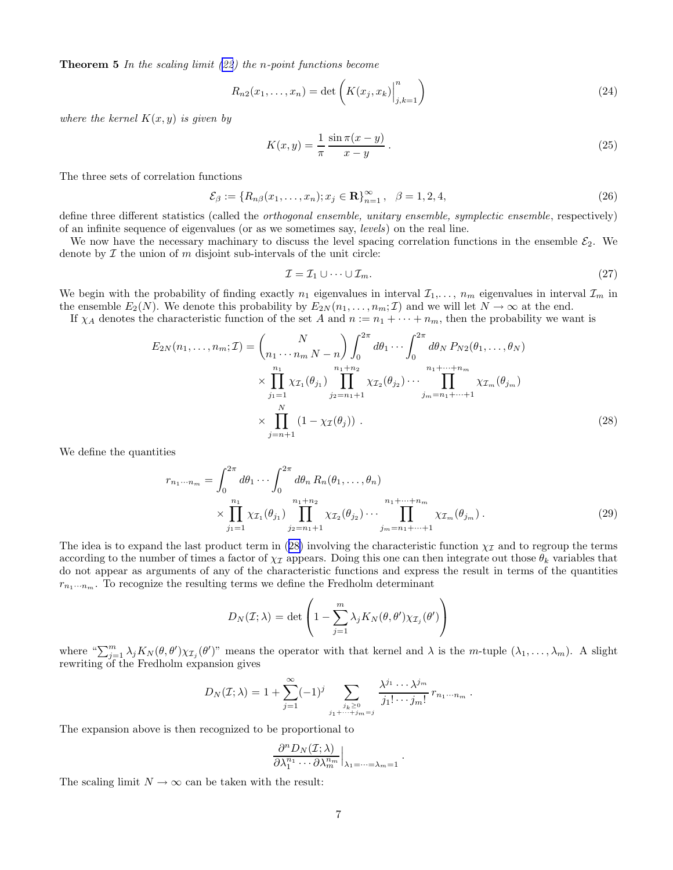<span id="page-6-0"></span>**Theorem 5** In the scaling limit  $(22)$  $(22)$  the n-point functions become

$$
R_{n2}(x_1,...,x_n) = \det\left(K(x_j,x_k)\Big|_{j,k=1}^n\right)
$$
\n(24)

where the kernel  $K(x, y)$  is given by

$$
K(x,y) = \frac{1}{\pi} \frac{\sin \pi (x-y)}{x-y}.
$$
\n
$$
(25)
$$

The three sets of correlation functions

$$
\mathcal{E}_{\beta} := \{ R_{n\beta}(x_1, \dots, x_n); x_j \in \mathbf{R} \}_{n=1}^{\infty}, \ \ \beta = 1, 2, 4,
$$
\n(26)

define three different statistics (called the *orthogonal ensemble, unitary ensemble, symplectic ensemble*, respectively) of an infinite sequence of eigenvalues (or as we sometimes say, levels) on the real line.

We now have the necessary machinary to discuss the level spacing correlation functions in the ensemble  $\mathcal{E}_2$ . We denote by  $\mathcal I$  the union of  $m$  disjoint sub-intervals of the unit circle:

$$
\mathcal{I} = \mathcal{I}_1 \cup \dots \cup \mathcal{I}_m. \tag{27}
$$

We begin with the probability of finding exactly  $n_1$  eigenvalues in interval  $\mathcal{I}_1,\ldots,n_m$  eigenvalues in interval  $\mathcal{I}_m$  in the ensemble  $E_2(N)$ . We denote this probability by  $E_{2N}(n_1, \ldots, n_m; \mathcal{I})$  and we will let  $N \to \infty$  at the end.

If  $\chi_A$  denotes the characteristic function of the set A and  $n := n_1 + \cdots + n_m$ , then the probability we want is

$$
E_{2N}(n_1, \dots, n_m; \mathcal{I}) = {N \choose n_1 \cdots n_m N - n} \int_0^{2\pi} d\theta_1 \cdots \int_0^{2\pi} d\theta_N P_{N2}(\theta_1, \dots, \theta_N)
$$
  
\$\times \prod\_{j\_1=1}^{n\_1} \chi\_{\mathcal{I}\_1}(\theta\_{j\_1}) \prod\_{j\_2=n\_1+1}^{n\_1+n\_2} \chi\_{\mathcal{I}\_2}(\theta\_{j\_2}) \cdots \prod\_{j\_m=n\_1+\dots+1}^{n\_1+\dots+n\_m} \chi\_{\mathcal{I}\_m}(\theta\_{j\_m})\$  
\$\times \prod\_{j=n+1}^N (1 - \chi\_{\mathcal{I}}(\theta\_j)). \qquad (28)\$

We define the quantities

$$
r_{n_1\cdots n_m} = \int_0^{2\pi} d\theta_1 \cdots \int_0^{2\pi} d\theta_n R_n(\theta_1, \ldots, \theta_n)
$$
  
 
$$
\times \prod_{j_1=1}^{n_1} \chi_{\mathcal{I}_1}(\theta_{j_1}) \prod_{j_2=n_1+1}^{n_1+n_2} \chi_{\mathcal{I}_2}(\theta_{j_2}) \cdots \prod_{j_m=n_1+\cdots+1}^{n_1+\cdots+n_m} \chi_{\mathcal{I}_m}(\theta_{j_m}).
$$
 (29)

The idea is to expand the last product term in (28) involving the characteristic function  $\chi_{\mathcal{I}}$  and to regroup the terms according to the number of times a factor of  $\chi_{\mathcal{I}}$  appears. Doing this one can then integrate out those  $\theta_k$  variables that do not appear as arguments of any of the characteristic functions and express the result in terms of the quantities  $r_{n_1\cdots n_m}$ . To recognize the resulting terms we define the Fredholm determinant

$$
D_N(\mathcal{I}; \lambda) = \det \left( 1 - \sum_{j=1}^m \lambda_j K_N(\theta, \theta') \chi_{\mathcal{I}_j}(\theta') \right)
$$

where " $\sum_{j=1}^{m} \lambda_j K_N(\theta, \theta') \chi_{\mathcal{I}_j}(\theta')$ " means the operator with that kernel and  $\lambda$  is the m-tuple  $(\lambda_1, \ldots, \lambda_m)$ . A slight rewriting of the Fredholm expansion gives

$$
D_N(\mathcal{I};\lambda) = 1 + \sum_{j=1}^{\infty} (-1)^j \sum_{\substack{j_k \geq 0 \\ j_1 + \cdots + j_m = j}} \frac{\lambda^{j_1} \cdots \lambda^{j_m}}{j_1! \cdots j_m!} r_{n_1 \cdots n_m}.
$$

The expansion above is then recognized to be proportional to

$$
\frac{\partial^n D_N(\mathcal{I};\lambda)}{\partial \lambda_1^{n_1} \cdots \partial \lambda_m^{n_m}}\Big|_{\lambda_1=\cdots=\lambda_m=1}.
$$

The scaling limit  $N \to \infty$  can be taken with the result: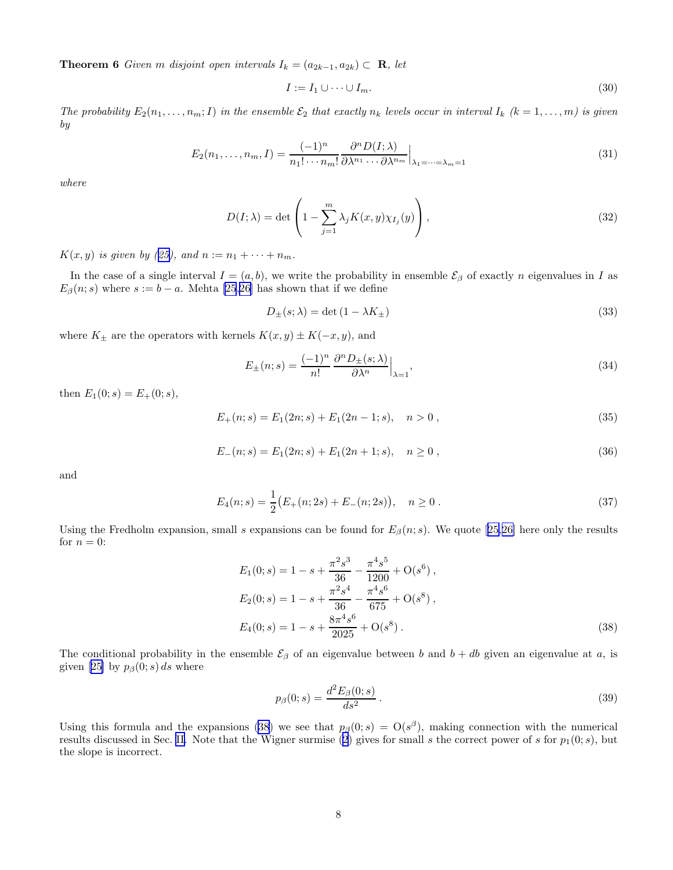<span id="page-7-0"></span>**Theorem 6** Given m disjoint open intervals  $I_k = (a_{2k-1}, a_{2k}) \subset \mathbb{R}$ , let

$$
I := I_1 \cup \dots \cup I_m. \tag{30}
$$

The probability  $E_2(n_1,\ldots,n_m;I)$  in the ensemble  $\mathcal{E}_2$  that exactly  $n_k$  levels occur in interval  $I_k$   $(k=1,\ldots,m)$  is given by

$$
E_2(n_1, \dots, n_m, I) = \frac{(-1)^n}{n_1! \cdots n_m!} \frac{\partial^n D(I; \lambda)}{\partial \lambda^{n_1} \cdots \partial \lambda^{n_m}} \Big|_{\lambda_1 = \cdots = \lambda_m = 1}
$$
(31)

where

$$
D(I; \lambda) = \det \left( 1 - \sum_{j=1}^{m} \lambda_j K(x, y) \chi_{I_j}(y) \right), \qquad (32)
$$

 $K(x, y)$  is given by ([25\)](#page-6-0), and  $n := n_1 + \cdots + n_m$ .

In the case of a single interval  $I = (a, b)$ , we write the probability in ensemble  $\mathcal{E}_{\beta}$  of exactly n eigenvalues in I as  $E_{\beta}(n; s)$  where  $s := b - a$ . Mehta [\[25](#page-21-0),[26](#page-21-0)] has shown that if we define

$$
D_{\pm}(s;\lambda) = \det(1 - \lambda K_{\pm})
$$
\n(33)

where  $K_{\pm}$  are the operators with kernels  $K(x, y) \pm K(-x, y)$ , and

$$
E_{\pm}(n;s) = \frac{(-1)^n}{n!} \frac{\partial^n D_{\pm}(s;\lambda)}{\partial \lambda^n} \Big|_{\lambda=1},\tag{34}
$$

then  $E_1(0; s) = E_+(0; s)$ ,

$$
E_{+}(n; s) = E_{1}(2n; s) + E_{1}(2n-1; s), \quad n > 0,
$$
\n(35)

$$
E_{-}(n; s) = E_{1}(2n; s) + E_{1}(2n+1; s), \quad n \ge 0,
$$
\n(36)

and

$$
E_4(n; s) = \frac{1}{2} (E_+(n; 2s) + E_-(n; 2s)), \quad n \ge 0.
$$
 (37)

Usingthe Fredholm expansion, small s expansions can be found for  $E_\beta(n; s)$ . We quote [[25,26\]](#page-21-0) here only the results for  $n = 0$ :

$$
E_1(0; s) = 1 - s + \frac{\pi^2 s^3}{36} - \frac{\pi^4 s^5}{1200} + O(s^6),
$$
  
\n
$$
E_2(0; s) = 1 - s + \frac{\pi^2 s^4}{36} - \frac{\pi^4 s^6}{675} + O(s^8),
$$
  
\n
$$
E_4(0; s) = 1 - s + \frac{8\pi^4 s^6}{2025} + O(s^8).
$$
\n(38)

The conditional probability in the ensemble  $\mathcal{E}_{\beta}$  of an eigenvalue between b and  $b + db$  given an eigenvalue at a, is given[[25\]](#page-21-0) by  $p_\beta(0; s) ds$  where

$$
p_{\beta}(0;s) = \frac{d^2 E_{\beta}(0;s)}{ds^2}.
$$
\n(39)

Using this formula and the expansions (38) we see that  $p_\beta(0; s) = O(s^\beta)$ , making connection with the numerical results discussed in Sec. [II.](#page-1-0) Note that the Wigner surmise [\(2](#page-1-0)) gives for small s the correct power of s for  $p_1(0; s)$ , but the slope is incorrect.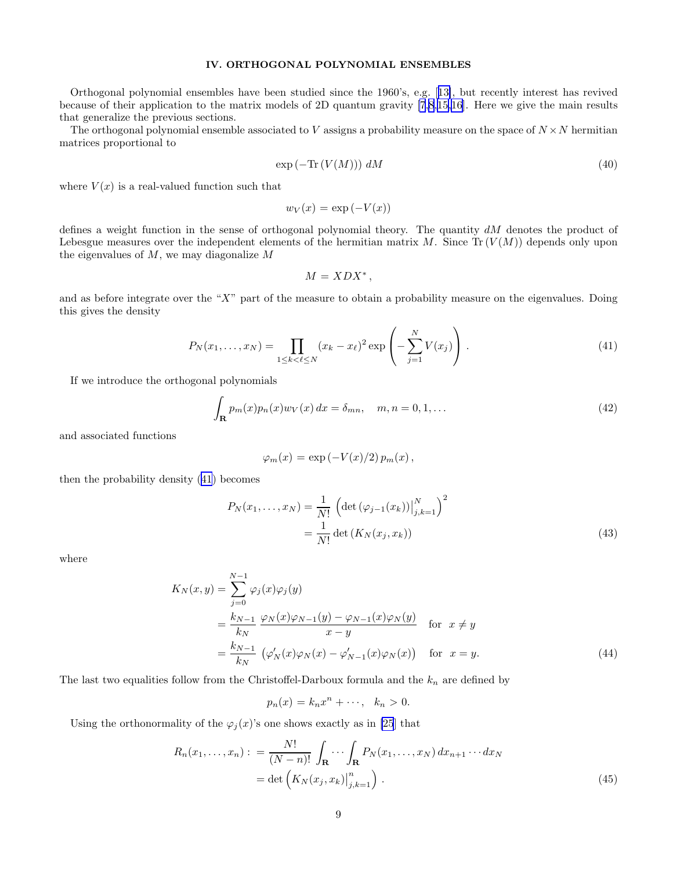## IV. ORTHOGONAL POLYNOMIAL ENSEMBLES

<span id="page-8-0"></span>Orthogonal polynomial ensembles have been studied since the 1960's, e.g.[[13\]](#page-21-0), but recently interest has revived because of their application to the matrix models of 2D quantum gravity [\[7,8](#page-21-0),[15](#page-21-0),[16\]](#page-21-0). Here we give the main results that generalize the previous sections.

The orthogonal polynomial ensemble associated to V assigns a probability measure on the space of  $N \times N$  hermitian matrices proportional to

$$
\exp\left(-\operatorname{Tr}\left(V(M)\right)\right) dM\tag{40}
$$

where  $V(x)$  is a real-valued function such that

$$
w_V(x) = \exp(-V(x))
$$

defines a weight function in the sense of orthogonal polynomial theory. The quantity dM denotes the product of Lebesgue measures over the independent elements of the hermitian matrix M. Since  $Tr(V(M))$  depends only upon the eigenvalues of  $M$ , we may diagonalize  $M$ 

$$
M=XDX^*,
$$

and as before integrate over the "X" part of the measure to obtain a probability measure on the eigenvalues. Doing this gives the density

$$
P_N(x_1, \dots, x_N) = \prod_{1 \le k < \ell \le N} (x_k - x_\ell)^2 \exp\left(-\sum_{j=1}^N V(x_j)\right). \tag{41}
$$

If we introduce the orthogonal polynomials

$$
\int_{\mathbf{R}} p_m(x) p_n(x) w_V(x) dx = \delta_{mn}, \quad m, n = 0, 1, \dots
$$
\n(42)

and associated functions

$$
\varphi_m(x) = \exp(-V(x)/2) p_m(x),
$$

then the probability density (41) becomes

$$
P_N(x_1, ..., x_N) = \frac{1}{N!} \left( \det \left( \varphi_{j-1}(x_k) \right) \Big|_{j,k=1}^N \right)^2
$$
  
= 
$$
\frac{1}{N!} \det \left( K_N(x_j, x_k) \right)
$$
 (43)

where

$$
K_N(x, y) = \sum_{j=0}^{N-1} \varphi_j(x)\varphi_j(y)
$$
  
= 
$$
\frac{k_{N-1}}{k_N} \frac{\varphi_N(x)\varphi_{N-1}(y) - \varphi_{N-1}(x)\varphi_N(y)}{x - y}
$$
 for  $x \neq y$   
= 
$$
\frac{k_{N-1}}{k_N} (\varphi'_N(x)\varphi_N(x) - \varphi'_{N-1}(x)\varphi_N(x))
$$
 for  $x = y$ . (44)

The last two equalities follow from the Christoffel-Darboux formula and the  $k_n$  are defined by

$$
p_n(x) = k_n x^n + \cdots, \quad k_n > 0.
$$

Using the orthonormality of the  $\varphi_j(x)$ 's one shows exactly as in [\[25](#page-21-0)] that

$$
R_n(x_1,\ldots,x_n):=\frac{N!}{(N-n)!}\int_{\mathbf{R}}\cdots\int_{\mathbf{R}}P_N(x_1,\ldots,x_N)\,dx_{n+1}\cdots dx_N
$$

$$
=\det\left(K_N(x_j,x_k)\Big|_{j,k=1}^n\right).
$$
(45)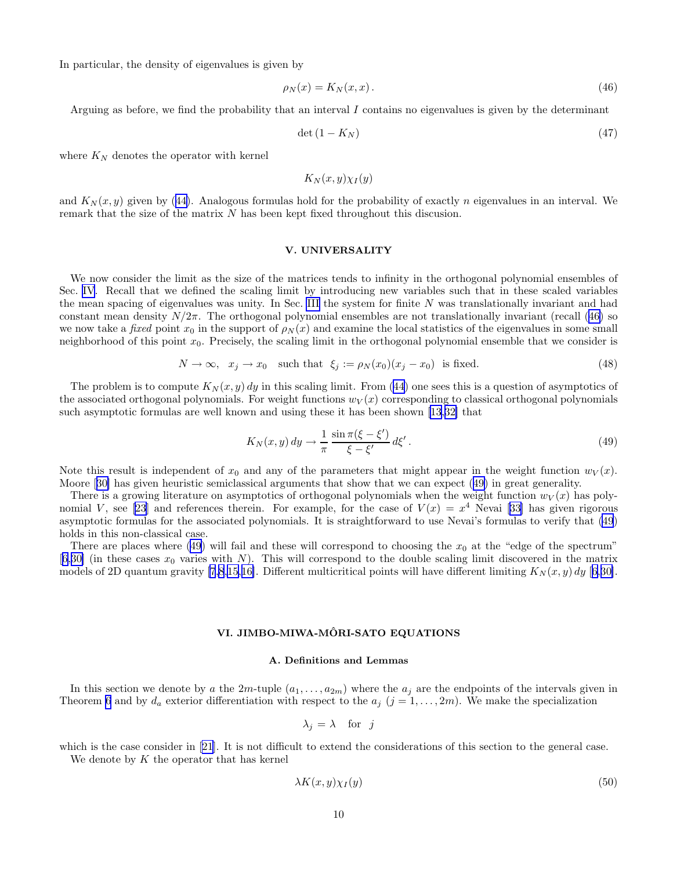<span id="page-9-0"></span>In particular, the density of eigenvalues is given by

$$
\rho_N(x) = K_N(x, x). \tag{46}
$$

Arguing as before, we find the probability that an interval I contains no eigenvalues is given by the determinant

$$
\det(1 - K_N) \tag{47}
$$

where  $K_N$  denotes the operator with kernel

 $K_N(x, y) \chi_I(y)$ 

and $K_N(x, y)$  given by ([44\)](#page-8-0). Analogous formulas hold for the probability of exactly n eigenvalues in an interval. We remark that the size of the matrix N has been kept fixed throughout this discusion.

### V. UNIVERSALITY

We now consider the limit as the size of the matrices tends to infinity in the orthogonal polynomial ensembles of Sec. [IV](#page-8-0). Recall that we defined the scaling limit by introducing new variables such that in these scaled variables the mean spacing of eigenvalues was unity. In Sec. [III](#page-1-0) the system for finite  $N$  was translationally invariant and had constant mean density  $N/2\pi$ . The orthogonal polynomial ensembles are not translationally invariant (recall (46) so we now take a fixed point  $x_0$  in the support of  $\rho_N(x)$  and examine the local statistics of the eigenvalues in some small neighborhood of this point  $x_0$ . Precisely, the scaling limit in the orthogonal polynomial ensemble that we consider is

$$
N \to \infty, \quad x_j \to x_0 \quad \text{such that} \quad \xi_j := \rho_N(x_0)(x_j - x_0) \quad \text{is fixed.} \tag{48}
$$

The problem is to compute  $K_N(x, y)$  dy in this scaling limit. From [\(44](#page-8-0)) one sees this is a question of asymptotics of the associated orthogonal polynomials. For weight functions  $w_V(x)$  corresponding to classical orthogonal polynomials such asymptotic formulas are well known and using these it has been shown[[13,](#page-21-0)[32\]](#page-22-0) that

$$
K_N(x, y) dy \to \frac{1}{\pi} \frac{\sin \pi (\xi - \xi')}{\xi - \xi'} d\xi'.
$$
\n(49)

Note this result is independent of  $x_0$  and any of the parameters that might appear in the weight function  $w_V(x)$ . Moore[[30\]](#page-22-0) has given heuristic semiclassical arguments that show that we can expect (49) in great generality.

There is a growing literature on asymptotics of orthogonal polynomials when the weight function  $w_V(x)$  has poly-nomial V, see [\[23](#page-21-0)] and references therein. For example, for the case of  $V(x) = x^4$  Nevai [\[33](#page-22-0)] has given rigorous asymptotic formulas for the associated polynomials. It is straightforward to use Nevai's formulas to verify that (49) holds in this non-classical case.

There are places where (49) will fail and these will correspond to choosing the  $x_0$  at the "edge of the spectrum"  $[6,30]$  $[6,30]$  $[6,30]$  (in these cases  $x_0$  varies with N). This will correspond to the double scaling limit discovered in the matrix models of 2D quantum gravity [\[7,8](#page-21-0),[15,16\]](#page-21-0). Different multicritical points will have different limiting  $K_N(x, y) dy$  [[6,](#page-21-0)[30\]](#page-22-0).

# VI. JIMBO-MIWA-MÔRI-SATO EQUATIONS

#### A. Definitions and Lemmas

In this section we denote by a the  $2m$ -tuple  $(a_1, \ldots, a_{2m})$  where the  $a_j$  are the endpoints of the intervals given in Theorem [6](#page-6-0) and by  $d_a$  exterior differentiation with respect to the  $a_j$   $(j = 1, \ldots, 2m)$ . We make the specialization

$$
\lambda_j = \lambda \quad \text{for} \quad j
$$

whichis the case consider in [[21](#page-21-0)]. It is not difficult to extend the considerations of this section to the general case. We denote by  $K$  the operator that has kernel

$$
\lambda K(x, y)\chi_I(y) \tag{50}
$$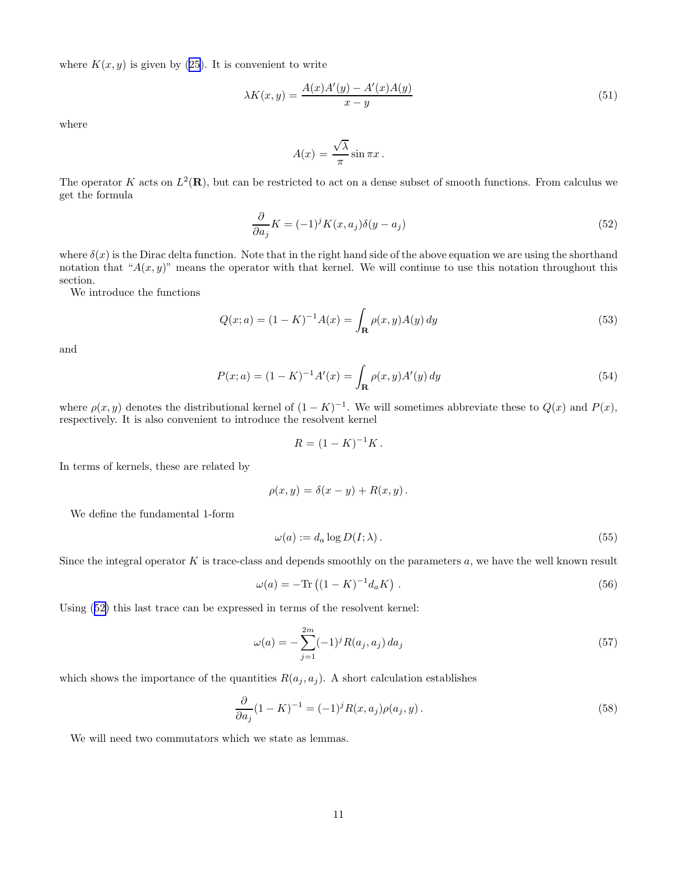<span id="page-10-0"></span>where  $K(x, y)$  is given by [\(25](#page-6-0)). It is convenient to write

$$
\lambda K(x,y) = \frac{A(x)A'(y) - A'(x)A(y)}{x - y}
$$
\n
$$
(51)
$$

where

$$
A(x) = \frac{\sqrt{\lambda}}{\pi} \sin \pi x.
$$

The operator K acts on  $L^2(\mathbf{R})$ , but can be restricted to act on a dense subset of smooth functions. From calculus we get the formula

$$
\frac{\partial}{\partial a_j} K = (-1)^j K(x, a_j) \delta(y - a_j)
$$
\n(52)

where  $\delta(x)$  is the Dirac delta function. Note that in the right hand side of the above equation we are using the shorthand notation that " $A(x, y)$ " means the operator with that kernel. We will continue to use this notation throughout this section.

We introduce the functions

$$
Q(x; a) = (1 - K)^{-1} A(x) = \int_{\mathbf{R}} \rho(x, y) A(y) dy
$$
\n(53)

and

$$
P(x; a) = (1 - K)^{-1} A'(x) = \int_{\mathbf{R}} \rho(x, y) A'(y) dy
$$
\n(54)

where  $\rho(x, y)$  denotes the distributional kernel of  $(1 - K)^{-1}$ . We will sometimes abbreviate these to  $Q(x)$  and  $P(x)$ , respectively. It is also convenient to introduce the resolvent kernel

$$
R = (1 - K)^{-1}K.
$$

In terms of kernels, these are related by

$$
\rho(x,y) = \delta(x-y) + R(x,y).
$$

We define the fundamental 1-form

$$
\omega(a) := d_a \log D(I; \lambda). \tag{55}
$$

Since the integral operator  $K$  is trace-class and depends smoothly on the parameters  $a$ , we have the well known result

$$
\omega(a) = -\text{Tr}\left((1 - K)^{-1}d_a K\right). \tag{56}
$$

Using (52) this last trace can be expressed in terms of the resolvent kernel:

$$
\omega(a) = -\sum_{j=1}^{2m} (-1)^j R(a_j, a_j) da_j \tag{57}
$$

which shows the importance of the quantities  $R(a_j, a_j)$ . A short calculation establishes

$$
\frac{\partial}{\partial a_j} (1 - K)^{-1} = (-1)^j R(x, a_j) \rho(a_j, y).
$$
\n(58)

We will need two commutators which we state as lemmas.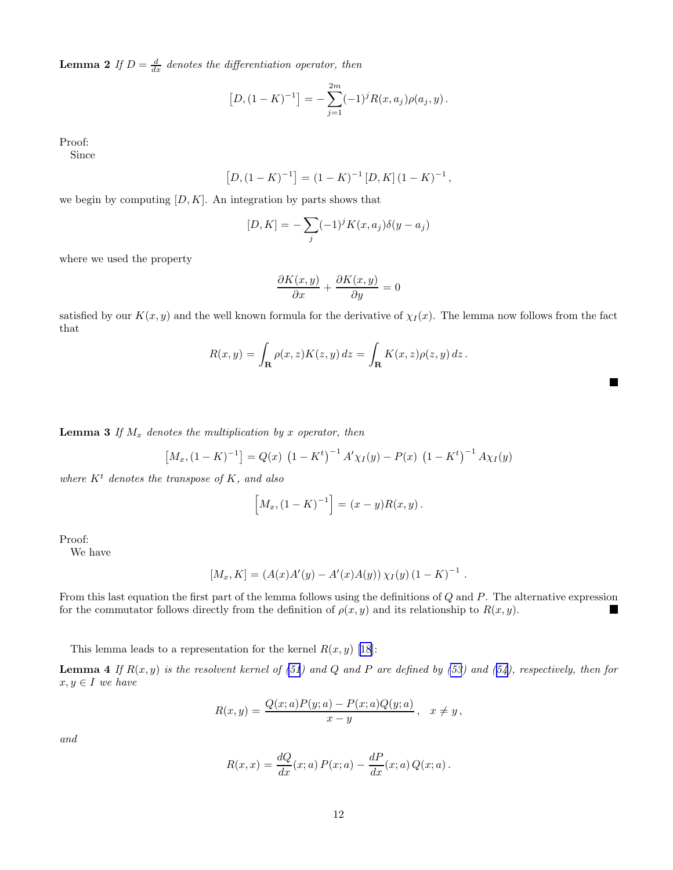<span id="page-11-0"></span>**Lemma 2** If  $D = \frac{d}{dx}$  denotes the differentiation operator, then

$$
[D,(1-K)^{-1}] = -\sum_{j=1}^{2m} (-1)^j R(x,a_j) \rho(a_j,y).
$$

Proof:

Since

$$
[D,(1-K)^{-1}] = (1-K)^{-1} [D,K] (1-K)^{-1},
$$

we begin by computing  $[D, K]$ . An integration by parts shows that

$$
[D, K] = -\sum_{j} (-1)^{j} K(x, a_j) \delta(y - a_j)
$$

where we used the property

$$
\frac{\partial K(x,y)}{\partial x} + \frac{\partial K(x,y)}{\partial y} = 0
$$

satisfied by our  $K(x, y)$  and the well known formula for the derivative of  $\chi_I(x)$ . The lemma now follows from the fact that

$$
R(x,y) = \int_{\mathbf{R}} \rho(x,z)K(z,y) dz = \int_{\mathbf{R}} K(x,z)\rho(z,y) dz.
$$

**Lemma 3** If  $M_x$  denotes the multiplication by x operator, then

$$
[M_x, (1 - K)^{-1}] = Q(x) (1 - K^t)^{-1} A' \chi_I(y) - P(x) (1 - K^t)^{-1} A \chi_I(y)
$$

where  $K<sup>t</sup>$  denotes the transpose of K, and also

$$
[M_x, (1 - K)^{-1}] = (x - y)R(x, y).
$$

Proof:

We have

$$
[M_x, K] = (A(x)A'(y) - A'(x)A(y)) \chi_I(y) (1 - K)^{-1}
$$

.

 $\blacksquare$ 

From this last equation the first part of the lemma follows using the definitions of Q and P. The alternative expression for the commutator follows directly from the definition of  $\rho(x, y)$  and its relationship to  $R(x, y)$ .

Thislemma leads to a representation for the kernel  $R(x, y)$  [[18](#page-21-0)]:

**Lemma 4** If  $R(x, y)$  is the resolvent kernel of [\(51](#page-10-0)) and Q and P are defined by [\(53](#page-10-0)) and ([54\)](#page-10-0), respectively, then for  $x, y \in I$  we have

$$
R(x,y) = \frac{Q(x;a)P(y;a) - P(x;a)Q(y;a)}{x-y}, \quad x \neq y,
$$

and

$$
R(x,x) = \frac{dQ}{dx}(x;a) P(x;a) - \frac{dP}{dx}(x;a) Q(x;a).
$$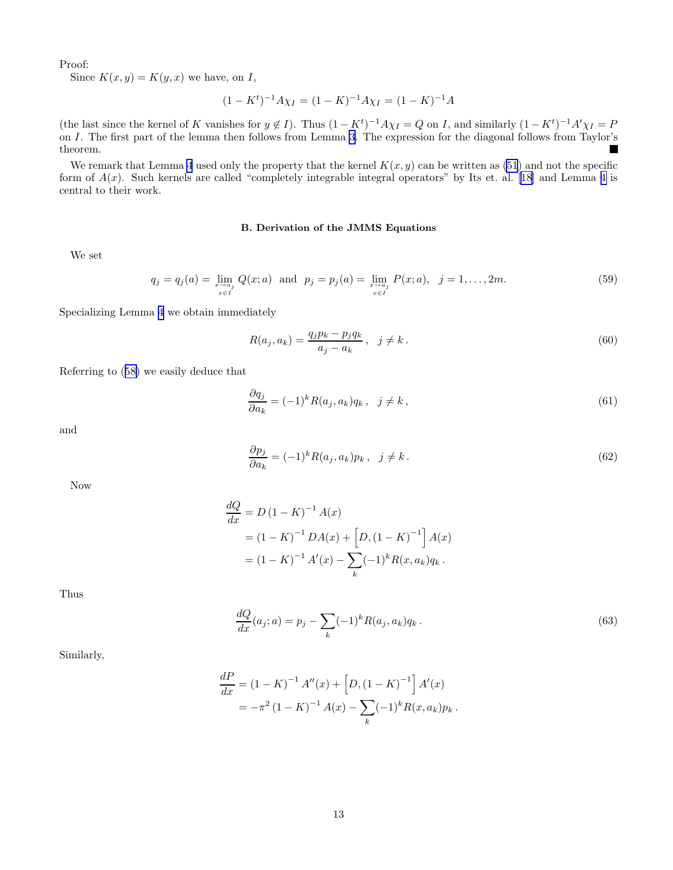<span id="page-12-0"></span>Proof:

Since  $K(x, y) = K(y, x)$  we have, on I,

$$
(1 - K^t)^{-1} A \chi_I = (1 - K)^{-1} A \chi_I = (1 - K)^{-1} A
$$

(the last since the kernel of K vanishes for  $y \notin I$ ). Thus  $(1 - K^t)^{-1} A \chi_I = Q$  on I, and similarly  $(1 - K^t)^{-1} A' \chi_I = P$ on I. The first part of the lemma then follows from Lemma [3](#page-11-0). The expression for the diagonal follows from Taylor's theorem. L.

We remark that Lemma [4](#page-11-0) used only the property that the kernel  $K(x, y)$  can be written as [\(51](#page-10-0)) and not the specific form of  $A(x)$ . Such kernels are called "completely integrable integral operators" by Its et. al. [\[18](#page-21-0)] and Lemma [4](#page-11-0) is central to their work.

# B. Derivation of the JMMS Equations

We set

$$
q_j = q_j(a) = \lim_{\substack{x \to a_j \\ x \in I}} Q(x; a) \text{ and } p_j = p_j(a) = \lim_{\substack{x \to a_j \\ x \in I}} P(x; a), \quad j = 1, \dots, 2m. \tag{59}
$$

Specializing Lemma [4](#page-11-0) we obtain immediately

$$
R(a_j, a_k) = \frac{q_j p_k - p_j q_k}{a_j - a_k}, \ \ j \neq k.
$$
\n(60)

Referring to([58\)](#page-10-0) we easily deduce that

$$
\frac{\partial q_j}{\partial a_k} = (-1)^k R(a_j, a_k) q_k, \quad j \neq k,
$$
\n(61)

and

$$
\frac{\partial p_j}{\partial a_k} = (-1)^k R(a_j, a_k) p_k, \quad j \neq k. \tag{62}
$$

Now

$$
\frac{dQ}{dx} = D (1 - K)^{-1} A(x)
$$
  
=  $(1 - K)^{-1} DA(x) + [D, (1 - K)^{-1}] A(x)$   
=  $(1 - K)^{-1} A'(x) - \sum_{k} (-1)^{k} R(x, a_{k}) q_{k}.$ 

Thus

$$
\frac{dQ}{dx}(a_j; a) = p_j - \sum_k (-1)^k R(a_j, a_k) q_k.
$$
\n(63)

Similarly,

$$
\frac{dP}{dx} = (1 - K)^{-1} A''(x) + [D, (1 - K)^{-1}] A'(x)
$$
  
=  $-\pi^2 (1 - K)^{-1} A(x) - \sum_k (-1)^k R(x, a_k) p_k.$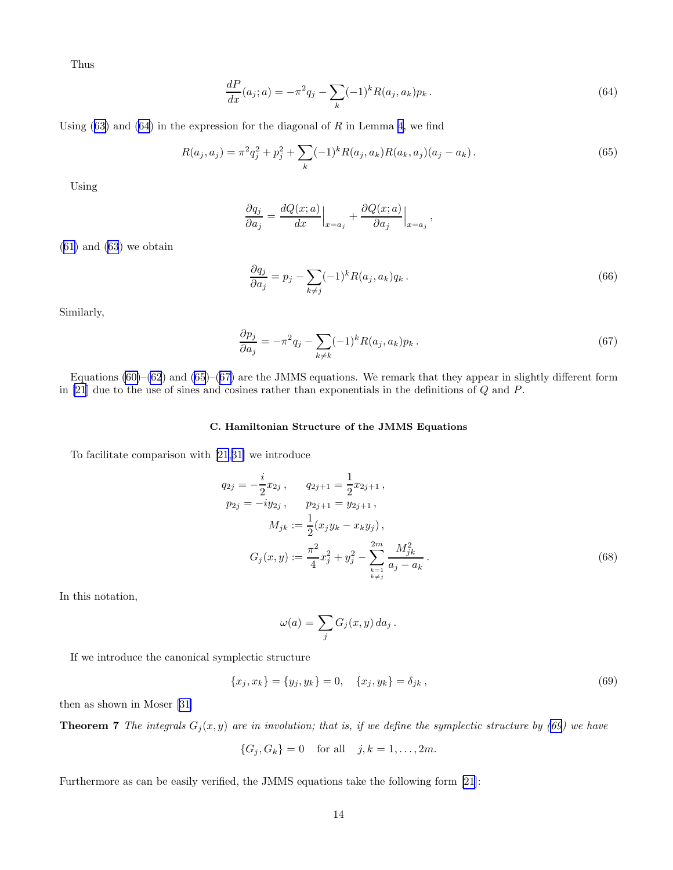<span id="page-13-0"></span>Thus

$$
\frac{dP}{dx}(a_j; a) = -\pi^2 q_j - \sum_k (-1)^k R(a_j, a_k) p_k.
$$
\n(64)

Using $(63)$  $(63)$  and  $(64)$  in the expression for the diagonal of R in Lemma [4](#page-11-0), we find

$$
R(a_j, a_j) = \pi^2 q_j^2 + p_j^2 + \sum_k (-1)^k R(a_j, a_k) R(a_k, a_j) (a_j - a_k).
$$
 (65)

Using

$$
\frac{\partial q_j}{\partial a_j} = \frac{dQ(x;a)}{dx}\Big|_{x=a_j} + \frac{\partial Q(x;a)}{\partial a_j}\Big|_{x=a_j}
$$

([61\)](#page-12-0) and [\(63](#page-12-0)) we obtain

$$
\frac{\partial q_j}{\partial a_j} = p_j - \sum_{k \neq j} (-1)^k R(a_j, a_k) q_k.
$$
\n
$$
(66)
$$

,

Similarly,

$$
\frac{\partial p_j}{\partial a_j} = -\pi^2 q_j - \sum_{k \neq k} (-1)^k R(a_j, a_k) p_k.
$$
\n
$$
(67)
$$

Equations  $(60)$ – $(62)$  $(62)$  and  $(65)$ – $(67)$  are the JMMS equations. We remark that they appear in slightly different form in [\[21](#page-21-0)] due to the use of sines and cosines rather than exponentials in the definitions of Q and P.

# C. Hamiltonian Structure of the JMMS Equations

To facilitate comparison with [\[21](#page-21-0),[31\]](#page-22-0) we introduce

$$
q_{2j} = -\frac{i}{2}x_{2j}, \t q_{2j+1} = \frac{1}{2}x_{2j+1},
$$
  
\n
$$
p_{2j} = -iy_{2j}, \t p_{2j+1} = y_{2j+1},
$$
  
\n
$$
M_{jk} := \frac{1}{2}(x_jy_k - x_ky_j),
$$
  
\n
$$
G_j(x,y) := \frac{\pi^2}{4}x_j^2 + y_j^2 - \sum_{\substack{k=1 \ k \neq j}}^{2m} \frac{M_{jk}^2}{a_j - a_k}.
$$
\n(68)

In this notation,

$$
\omega(a) = \sum_j G_j(x, y) \, da_j \, .
$$

If we introduce the canonical symplectic structure

$$
\{x_j, x_k\} = \{y_j, y_k\} = 0, \quad \{x_j, y_k\} = \delta_{jk}, \tag{69}
$$

then as shown in Moser [\[31](#page-22-0)]

**Theorem 7** The integrals  $G_j(x, y)$  are in involution; that is, if we define the symplectic structure by (69) we have

$$
\{G_j, G_k\} = 0 \text{ for all } j, k = 1, ..., 2m.
$$

Furthermore as can be easily verified, the JMMS equations take the following form [\[21](#page-21-0)]: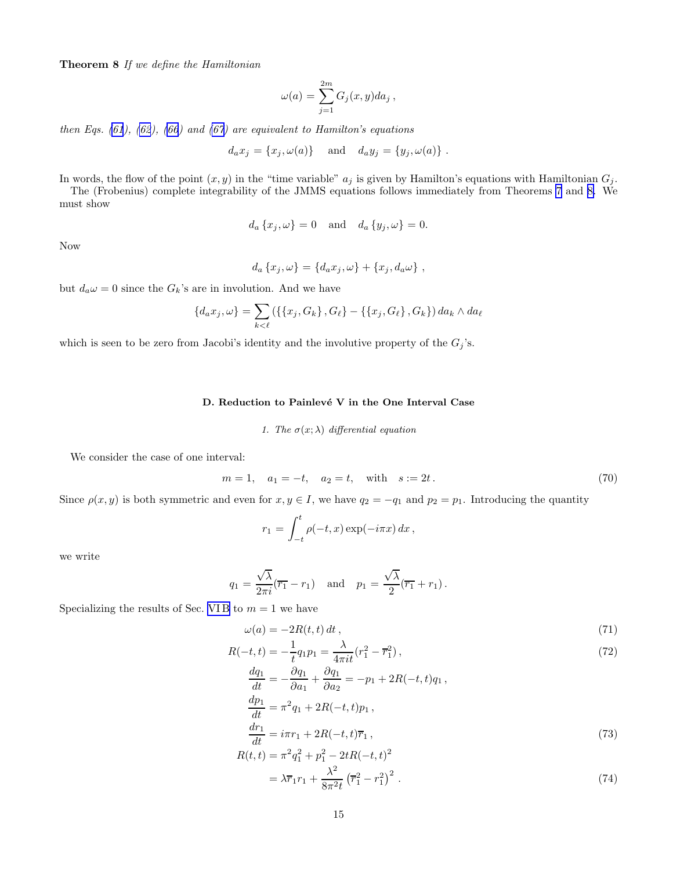<span id="page-14-0"></span>Theorem 8 If we define the Hamiltonian

$$
\omega(a) = \sum_{j=1}^{2m} G_j(x, y) da_j,
$$

then Eqs.  $(61)$  $(61)$ ,  $(62)$  $(62)$ ,  $(66)$  $(66)$  and  $(67)$  are equivalent to Hamilton's equations

$$
d_a x_j = \{x_j, \omega(a)\} \quad \text{and} \quad d_a y_j = \{y_j, \omega(a)\} .
$$

In words, the flow of the point  $(x, y)$  in the "time variable"  $a_j$  is given by Hamilton's equations with Hamiltonian  $G_j$ .

The (Frobenius) complete integrability of the JMMS equations follows immediately from Theorems [7](#page-13-0) and [8.](#page-13-0) We must show

$$
d_a\left\{x_j,\omega\right\}=0 \quad \text{and} \quad d_a\left\{y_j,\omega\right\}=0.
$$

Now

$$
d_a\left\{x_j,\omega\right\} = \left\{d_a x_j,\omega\right\} + \left\{x_j,d_a\omega\right\},\,
$$

but  $d_a\omega = 0$  since the  $G_k$ 's are in involution. And we have

$$
\{d_{a}x_{j}, \omega\} = \sum_{k < \ell} (\{\{x_{j}, G_{k}\}, G_{\ell}\} - \{\{x_{j}, G_{\ell}\}, G_{k}\}) da_{k} \wedge da_{\ell}
$$

which is seen to be zero from Jacobi's identity and the involutive property of the  $G_j$ 's.

# D. Reduction to Painlevé V in the One Interval Case

*1. The*  $\sigma(x; \lambda)$  *differential equation* 

We consider the case of one interval:

$$
m = 1, \quad a_1 = -t, \quad a_2 = t, \quad \text{with} \quad s := 2t.
$$
 (70)

Since  $\rho(x, y)$  is both symmetric and even for  $x, y \in I$ , we have  $q_2 = -q_1$  and  $p_2 = p_1$ . Introducing the quantity

$$
r_1 = \int_{-t}^{t} \rho(-t, x) \exp(-i\pi x) dx,
$$

we write

$$
q_1 = \frac{\sqrt{\lambda}}{2\pi i}(\overline{r_1} - r_1) \quad \text{and} \quad p_1 = \frac{\sqrt{\lambda}}{2}(\overline{r_1} + r_1).
$$

Specializing the results of Sec. VIB to  $m = 1$  we have

$$
\omega(a) = -2R(t, t) dt,
$$
\n(71)

$$
R(-t,t) = -\frac{1}{t}q_1p_1 = \frac{\lambda}{4\pi i t}(r_1^2 - \overline{r}_1^2),\tag{72}
$$

$$
\frac{dq_1}{dt} = -\frac{\partial q_1}{\partial a_1} + \frac{\partial q_1}{\partial a_2} = -p_1 + 2R(-t, t)q_1,
$$
\n
$$
\frac{dp_1}{dt} = \pi^2 q_1 + 2R(-t, t)p_1,
$$
\n
$$
\frac{dr_1}{dt} = i\pi r_1 + 2R(-t, t)\overline{r}_1,
$$
\n
$$
R(t, t) = \pi^2 q_1^2 + p_1^2 - 2tR(-t, t)^2
$$
\n(73)

$$
= \lambda \overline{r}_1 r_1 + \frac{\lambda^2}{8\pi^2 t} \left(\overline{r}_1^2 - r_1^2\right)^2.
$$
 (74)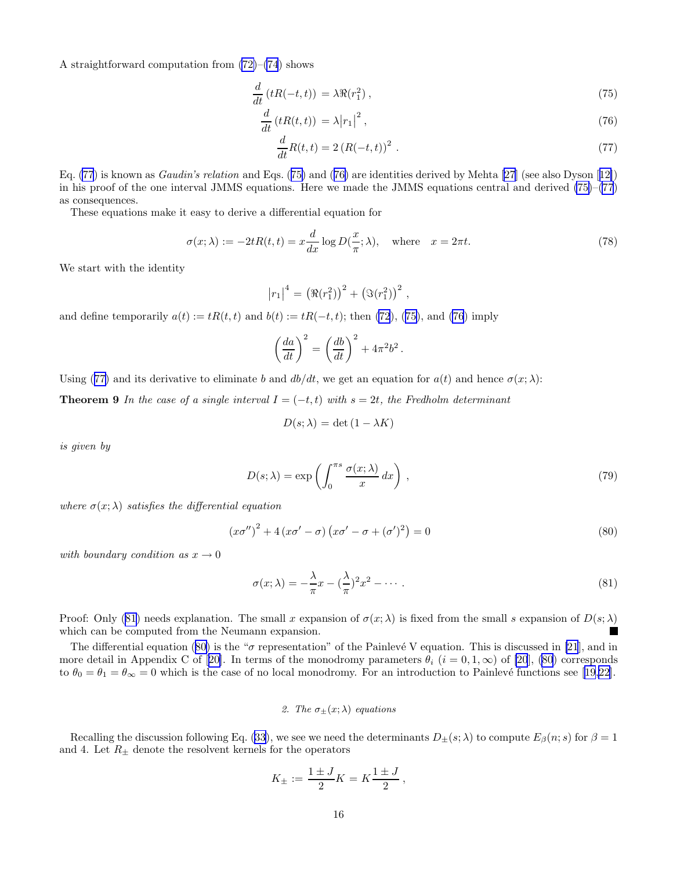<span id="page-15-0"></span>A straightforward computation from [\(72\)](#page-14-0)–[\(74](#page-14-0)) shows

$$
\frac{d}{dt}\left(tR(-t,t)\right) = \lambda \Re(r_1^2) \,,\tag{75}
$$

$$
\frac{d}{dt}\left(tR(t,t)\right) = \lambda \left|r_1\right|^2,\tag{76}
$$

$$
\frac{d}{dt}R(t,t) = 2\left(R(-t,t)\right)^2\,. \tag{77}
$$

Eq. (77) is known as Gaudin's relation and Eqs. (75) and (76) are identities derived by Mehta[[27](#page-21-0)] (see also Dyson[[12\]](#page-21-0)) in his proof of the one interval JMMS equations. Here we made the JMMS equations central and derived (75)–(77) as consequences.

These equations make it easy to derive a differential equation for

$$
\sigma(x;\lambda) := -2tR(t,t) = x\frac{d}{dx}\log D(\frac{x}{\pi};\lambda), \quad \text{where} \quad x = 2\pi t. \tag{78}
$$

.

We start with the identity

$$
|r_1|^4 = (\Re(r_1^2))^2 + (\Im(r_1^2))^2
$$
,

and define temporarily  $a(t) := tR(t, t)$  and  $b(t) := tR(-t, t)$ ; then [\(72](#page-14-0)), (75), and (76) imply

$$
\left(\frac{da}{dt}\right)^2 = \left(\frac{db}{dt}\right)^2 + 4\pi^2b^2
$$

Using (77) and its derivative to eliminate b and  $db/dt$ , we get an equation for  $a(t)$  and hence  $\sigma(x; \lambda)$ :

**Theorem 9** In the case of a single interval  $I = (-t, t)$  with  $s = 2t$ , the Fredholm determinant

$$
D(s; \lambda) = \det(1 - \lambda K)
$$

is given by

$$
D(s; \lambda) = \exp\left(\int_0^{\pi s} \frac{\sigma(x; \lambda)}{x} dx\right),\tag{79}
$$

where  $\sigma(x; \lambda)$  satisfies the differential equation

$$
\left(x\sigma''\right)^2 + 4\left(x\sigma' - \sigma\right)\left(x\sigma' - \sigma + (\sigma')^2\right) = 0\tag{80}
$$

with boundary condition as  $x \to 0$ 

$$
\sigma(x;\lambda) = -\frac{\lambda}{\pi}x - (\frac{\lambda}{\pi})^2 x^2 - \dotsb \tag{81}
$$

Proof: Only (81) needs explanation. The small x expansion of  $\sigma(x; \lambda)$  is fixed from the small s expansion of  $D(s; \lambda)$ which can be computed from the Neumann expansion.

The differential equation (80) is the " $\sigma$  representation" of the Painlevé V equation. This is discussed in [\[21](#page-21-0)], and in moredetail in Appendix C of [[20\]](#page-21-0). In terms of the monodromy parameters  $\theta_i$  ( $i = 0, 1, \infty$ ) of [\[20](#page-21-0)], (80) corresponds to  $\theta_0 = \theta_1 = \theta_\infty = 0$  which is the case of no local monodromy. For an introduction to Painlevé functions see [\[19](#page-21-0),[22](#page-21-0)].

# 2. The  $\sigma_{\pm}(x;\lambda)$  *equations*

Recallingthe discussion following Eq. ([33\)](#page-7-0), we see we need the determinants  $D_{\pm}(s;\lambda)$  to compute  $E_{\beta}(n;s)$  for  $\beta=1$ and 4. Let  $R_{\pm}$  denote the resolvent kernels for the operators

$$
K_{\pm} := \frac{1 \pm J}{2} K = K \frac{1 \pm J}{2} \,,
$$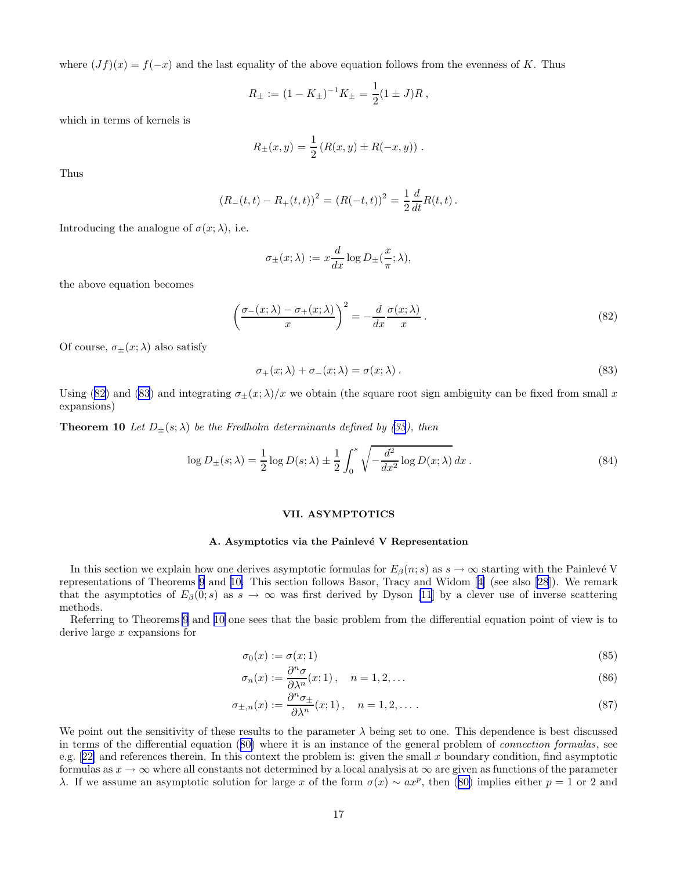<span id="page-16-0"></span>where  $(Jf)(x) = f(-x)$  and the last equality of the above equation follows from the evenness of K. Thus

$$
R_{\pm} := (1 - K_{\pm})^{-1} K_{\pm} = \frac{1}{2} (1 \pm J) R ,
$$

which in terms of kernels is

$$
R_{\pm}(x,y) = \frac{1}{2} (R(x,y) \pm R(-x,y)) .
$$

Thus

$$
(R_{-}(t,t) - R_{+}(t,t))^{2} = (R(-t,t))^{2} = \frac{1}{2}\frac{d}{dt}R(t,t).
$$

Introducing the analogue of  $\sigma(x; \lambda)$ , i.e.

$$
\sigma_{\pm}(x;\lambda):=x\frac{d}{dx}\log D_{\pm}(\frac{x}{\pi};\lambda),
$$

the above equation becomes

$$
\left(\frac{\sigma_{-}(x;\lambda)-\sigma_{+}(x;\lambda)}{x}\right)^{2}=-\frac{d}{dx}\frac{\sigma(x;\lambda)}{x}.
$$
\n(82)

Of course,  $\sigma_{+}(x;\lambda)$  also satisfy

$$
\sigma_+(x;\lambda) + \sigma_-(x;\lambda) = \sigma(x;\lambda). \tag{83}
$$

Using (82) and (83) and integrating  $\sigma_{\pm}(x;\lambda)/x$  we obtain (the square root sign ambiguity can be fixed from small x expansions)

**Theorem 10** Let  $D_{\pm}(s;\lambda)$  be the Fredholm determinants defined by [\(33](#page-7-0)), then

$$
\log D_{\pm}(s;\lambda) = \frac{1}{2}\log D(s;\lambda) \pm \frac{1}{2}\int_0^s \sqrt{-\frac{d^2}{dx^2}\log D(x;\lambda)} dx.
$$
 (84)

## VII. ASYMPTOTICS

### A. Asymptotics via the Painlevé V Representation

In this section we explain how one derives asymptotic formulas for  $E_\beta(n; s)$  as  $s \to \infty$  starting with the Painlevé V representations of Theorems [9](#page-15-0) and 10. This section follows Basor, Tracy and Widom[[4\]](#page-21-0) (see also [\[28](#page-21-0)]). We remark that the asymptotics of  $E_\beta(0; s)$  as  $s \to \infty$  was first derived by Dyson [\[11](#page-21-0)] by a clever use of inverse scattering methods.

Referring to Theorems [9](#page-15-0) and 10 one sees that the basic problem from the differential equation point of view is to derive large  $x$  expansions for

$$
\sigma_0(x) := \sigma(x; 1) \tag{85}
$$

$$
\sigma_n(x) := \frac{\partial^n \sigma}{\partial \lambda^n}(x; 1), \quad n = 1, 2, \dots
$$
\n(86)

$$
\sigma_{\pm,n}(x) := \frac{\partial^n \sigma_{\pm}}{\partial \lambda^n}(x;1), \quad n = 1, 2, \dots
$$
\n(87)

We point out the sensitivity of these results to the parameter  $\lambda$  being set to one. This dependence is best discussed in terms of the differential equation([80\)](#page-15-0) where it is an instance of the general problem of connection formulas, see e.g. $[22]$  $[22]$  and references therein. In this context the problem is: given the small x boundary condition, find asymptotic formulas as  $x \to \infty$  where all constants not determined by a local analysis at  $\infty$  are given as functions of the parameter λ.If we assume an asymptotic solution for large x of the form  $\sigma(x) \sim ax^p$ , then ([80\)](#page-15-0) implies either  $p = 1$  or 2 and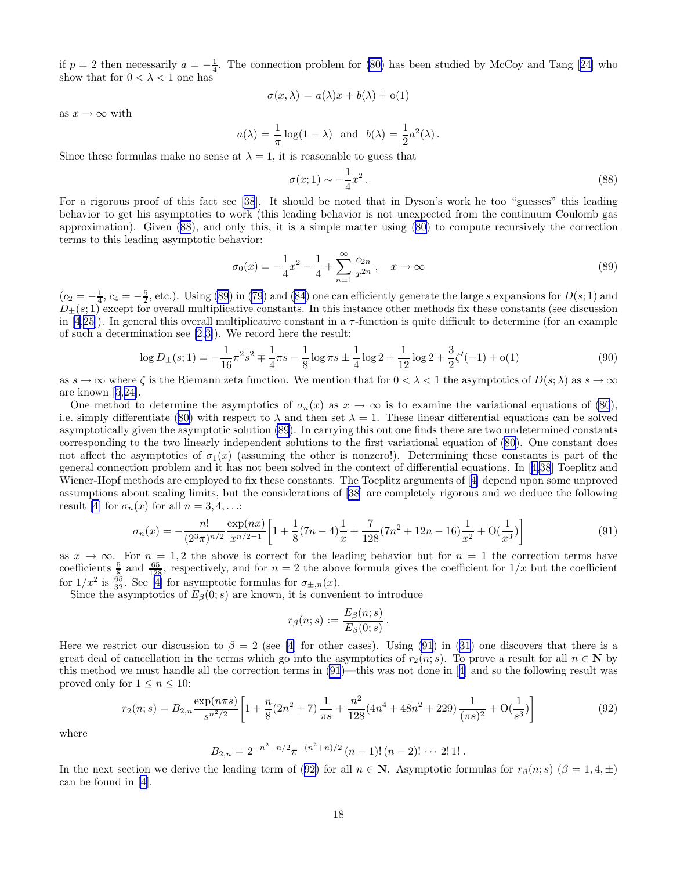<span id="page-17-0"></span>if  $p = 2$  then necessarily  $a = -\frac{1}{4}$ . The connection problem for [\(80\)](#page-15-0) has been studied by McCoy and Tang [\[24](#page-21-0)] who show that for  $0 < \lambda < 1$  one has

$$
\sigma(x,\lambda) = a(\lambda)x + b(\lambda) + o(1)
$$

as  $x \to \infty$  with

$$
a(\lambda) = \frac{1}{\pi} \log(1 - \lambda)
$$
 and  $b(\lambda) = \frac{1}{2} a^2(\lambda)$ .

Since these formulas make no sense at  $\lambda = 1$ , it is reasonable to guess that

$$
\sigma(x;1) \sim -\frac{1}{4}x^2\,. \tag{88}
$$

For a rigorous proof of this fact see [\[38](#page-22-0)]. It should be noted that in Dyson's work he too "guesses" this leading behavior to get his asymptotics to work (this leading behavior is not unexpected from the continuum Coulomb gas approximation). Given (88), and only this, it is a simple matter using [\(80](#page-15-0)) to compute recursively the correction terms to this leading asymptotic behavior:

$$
\sigma_0(x) = -\frac{1}{4}x^2 - \frac{1}{4} + \sum_{n=1}^{\infty} \frac{c_{2n}}{x^{2n}}, \quad x \to \infty
$$
\n(89)

 $(c_2 = -\frac{1}{4}, c_4 = -\frac{5}{2}, \text{etc.})$ . Using (89) in [\(79](#page-15-0)) and [\(84](#page-16-0)) one can efficiently generate the large s expansions for  $D(s; 1)$  and  $D_{\pm}(s;1)$  except for overall multiplicative constants. In this instance other methods fix these constants (see discussion in [\[4](#page-21-0),[25\]](#page-21-0)). In general this overall multiplicative constant in a  $\tau$ -function is quite difficult to determine (for an example of such a determination see [\[2](#page-21-0),[3](#page-21-0)]). We record here the result:

$$
\log D_{\pm}(s;1) = -\frac{1}{16}\pi^2 s^2 \mp \frac{1}{4}\pi s - \frac{1}{8}\log \pi s \pm \frac{1}{4}\log 2 + \frac{1}{12}\log 2 + \frac{3}{2}\zeta'(-1) + o(1) \tag{90}
$$

as  $s \to \infty$  where  $\zeta$  is the Riemann zeta function. We mention that for  $0 < \lambda < 1$  the asymptotics of  $D(s; \lambda)$  as  $s \to \infty$ are known [\[5](#page-21-0),[24\]](#page-21-0).

One method to determine the asymptotics of  $\sigma_n(x)$  as  $x \to \infty$  is to examine the variational equations of [\(80](#page-15-0)), i.e. simply differentiate [\(80](#page-15-0)) with respect to  $\lambda$  and then set  $\lambda = 1$ . These linear differential equations can be solved asymptotically given the asymptotic solution (89). In carrying this out one finds there are two undetermined constants corresponding to the two linearly independent solutions to the first variational equation of [\(80](#page-15-0)). One constant does not affect the asymptotics of  $\sigma_1(x)$  (assuming the other is nonzero!). Determining these constants is part of the general connection problem and it has not been solved in the context of differential equations. In[[4](#page-21-0)[,38](#page-22-0)] Toeplitz and Wiener-Hopf methods are employed to fix these constants. The Toeplitz arguments of[[4\]](#page-21-0) depend upon some unproved assumptions about scaling limits, but the considerations of [\[38](#page-22-0)] are completely rigorous and we deduce the following result [\[4\]](#page-21-0) for  $\sigma_n(x)$  for all  $n = 3, 4, \ldots$ :

$$
\sigma_n(x) = -\frac{n!}{(2^3 \pi)^{n/2}} \frac{\exp(nx)}{x^{n/2 - 1}} \left[ 1 + \frac{1}{8} (7n - 4) \frac{1}{x} + \frac{7}{128} (7n^2 + 12n - 16) \frac{1}{x^2} + O(\frac{1}{x^3}) \right]
$$
(91)

as  $x \to \infty$ . For  $n = 1, 2$  the above is correct for the leading behavior but for  $n = 1$  the correction terms have coefficients  $\frac{5}{8}$  and  $\frac{65}{128}$ , respectively, and for  $n=2$  the above formula gives the coefficient for  $1/x$  but the coefficient for $1/x^2$  is  $\frac{65}{32}$ . See [[4\]](#page-21-0) for asymptotic formulas for  $\sigma_{\pm,n}(x)$ .

Since the asymptotics of  $E_\beta(0; s)$  are known, it is convenient to introduce

$$
r_{\beta}(n;s) := \frac{E_{\beta}(n;s)}{E_{\beta}(0;s)}.
$$

Herewe restrict our discussion to  $\beta = 2$  (see [[4\]](#page-21-0) for other cases). Using (91) in [\(31](#page-7-0)) one discovers that there is a great deal of cancellation in the terms which go into the asymptotics of  $r_2(n; s)$ . To prove a result for all  $n \in \mathbb{N}$  by this method we must handle all the correction terms in (91)—this was not done in[[4\]](#page-21-0) and so the following result was proved only for  $1 \leq n \leq 10$ :

$$
r_2(n;s) = B_{2,n} \frac{\exp(n\pi s)}{s^{n^2/2}} \left[ 1 + \frac{n}{8} (2n^2 + 7) \frac{1}{\pi s} + \frac{n^2}{128} (4n^4 + 48n^2 + 229) \frac{1}{(\pi s)^2} + O(\frac{1}{s^3}) \right]
$$
(92)

where

$$
B_{2,n} = 2^{-n^2 - n/2} \pi^{-(n^2 + n)/2} (n - 1)!(n - 2)! \cdots 2! \, 1! \, .
$$

In the next section we derive the leading term of (92) for all  $n \in \mathbb{N}$ . Asymptotic formulas for  $r_\beta(n; s)$  ( $\beta = 1, 4, \pm$ ) can be found in [\[4](#page-21-0)].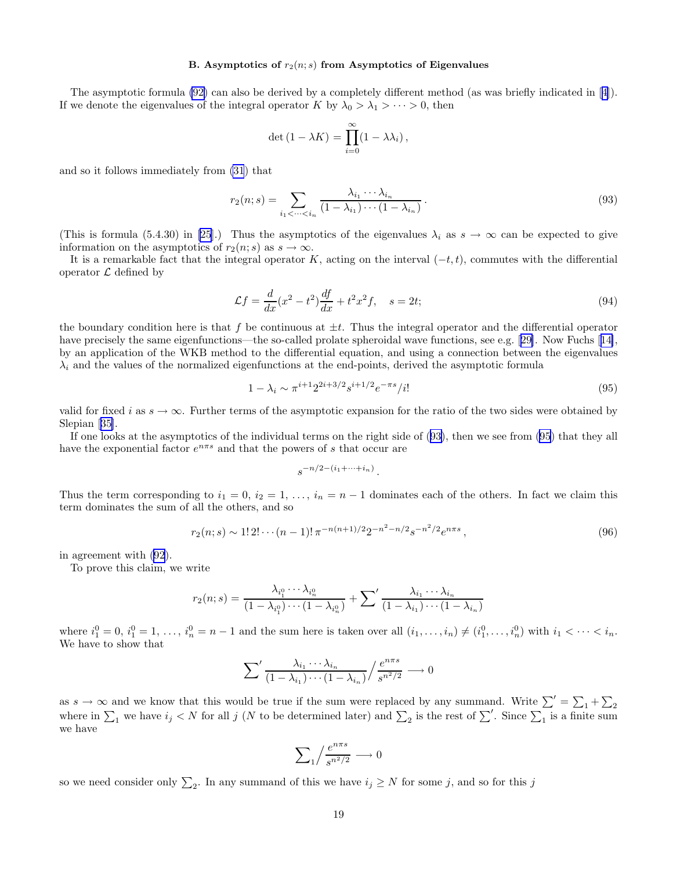### B. Asymptotics of  $r_2(n; s)$  from Asymptotics of Eigenvalues

<span id="page-18-0"></span>The asymptotic formula [\(92\)](#page-17-0) can also be derived by a completely different method (as was briefly indicated in[[4\]](#page-21-0)). If we denote the eigenvalues of the integral operator K by  $\lambda_0 > \lambda_1 > \cdots > 0$ , then

$$
\det(1 - \lambda K) = \prod_{i=0}^{\infty} (1 - \lambda \lambda_i),
$$

and so it follows immediately from [\(31](#page-7-0)) that

$$
r_2(n;s) = \sum_{i_1 < \dots < i_n} \frac{\lambda_{i_1} \cdots \lambda_{i_n}}{(1 - \lambda_{i_1}) \cdots (1 - \lambda_{i_n})} \,. \tag{93}
$$

(This is formula (5.4.30) in [\[25](#page-21-0)].) Thus the asymptotics of the eigenvalues  $\lambda_i$  as  $s \to \infty$  can be expected to give information on the asymptotics of  $r_2(n; s)$  as  $s \to \infty$ .

It is a remarkable fact that the integral operator K, acting on the interval  $(-t, t)$ , commutes with the differential operator  $\mathcal L$  defined by

$$
\mathcal{L}f = \frac{d}{dx}(x^2 - t^2)\frac{df}{dx} + t^2x^2f, \quad s = 2t; \tag{94}
$$

the boundary condition here is that f be continuous at  $\pm t$ . Thus the integral operator and the differential operator haveprecisely the same eigenfunctions—the so-called prolate spheroidal wave functions, see e.g. [[29\]](#page-22-0). Now Fuchs [[14\]](#page-21-0), by an application of the WKB method to the differential equation, and using a connection between the eigenvalues  $\lambda_i$  and the values of the normalized eigenfunctions at the end-points, derived the asymptotic formula

$$
1 - \lambda_i \sim \pi^{i+1} 2^{2i+3/2} s^{i+1/2} e^{-\pi s} / i! \tag{95}
$$

valid for fixed i as  $s \to \infty$ . Further terms of the asymptotic expansion for the ratio of the two sides were obtained by Slepian[[35\]](#page-22-0).

If one looks at the asymptotics of the individual terms on the right side of (93), then we see from (95) that they all have the exponential factor  $e^{n\pi s}$  and that the powers of s that occur are

$$
s^{-n/2-(i_1+\cdots+i_n)}.
$$

Thus the term corresponding to  $i_1 = 0$ ,  $i_2 = 1, \ldots, i_n = n - 1$  dominates each of the others. In fact we claim this term dominates the sum of all the others, and so

$$
r_2(n;s) \sim 1! \, 2! \cdots (n-1)! \, \pi^{-n(n+1)/2} 2^{-n^2 - n/2} s^{-n^2/2} e^{n\pi s} \,, \tag{96}
$$

in agreement with [\(92](#page-17-0)).

To prove this claim, we write

$$
r_2(n;s) = \frac{\lambda_{i_1^0} \cdots \lambda_{i_n^0}}{(1 - \lambda_{i_1^0}) \cdots (1 - \lambda_{i_n^0})} + \sum' \frac{\lambda_{i_1} \cdots \lambda_{i_n}}{(1 - \lambda_{i_1}) \cdots (1 - \lambda_{i_n})}
$$

where  $i_1^0 = 0$ ,  $i_1^0 = 1, \ldots, i_n^0 = n - 1$  and the sum here is taken over all  $(i_1, \ldots, i_n) \neq (i_1^0, \ldots, i_n^0)$  with  $i_1 < \cdots < i_n$ . We have to show that

$$
\sum' \frac{\lambda_{i_1} \cdots \lambda_{i_n}}{(1 - \lambda_{i_1}) \cdots (1 - \lambda_{i_n})} / \frac{e^{n \pi s}}{s^{n^2/2}} \longrightarrow 0
$$

as  $s \to \infty$  and we know that this would be true if the sum were replaced by any summand. Write  $\sum' = \sum_1 + \sum_2$ where in  $\sum_1$  we have  $i_j < N$  for all j (N to be determined later) and  $\sum_2$  is the rest of  $\sum'$ . Since  $\sum_1$  is a finite sum we have

$$
\sum\nolimits_1\!\left/\frac{e^{n\pi s}}{s^{n^2/2}}\right.\longrightarrow 0
$$

so we need consider only  $\sum_2$ . In any summand of this we have  $i_j \ge N$  for some j, and so for this j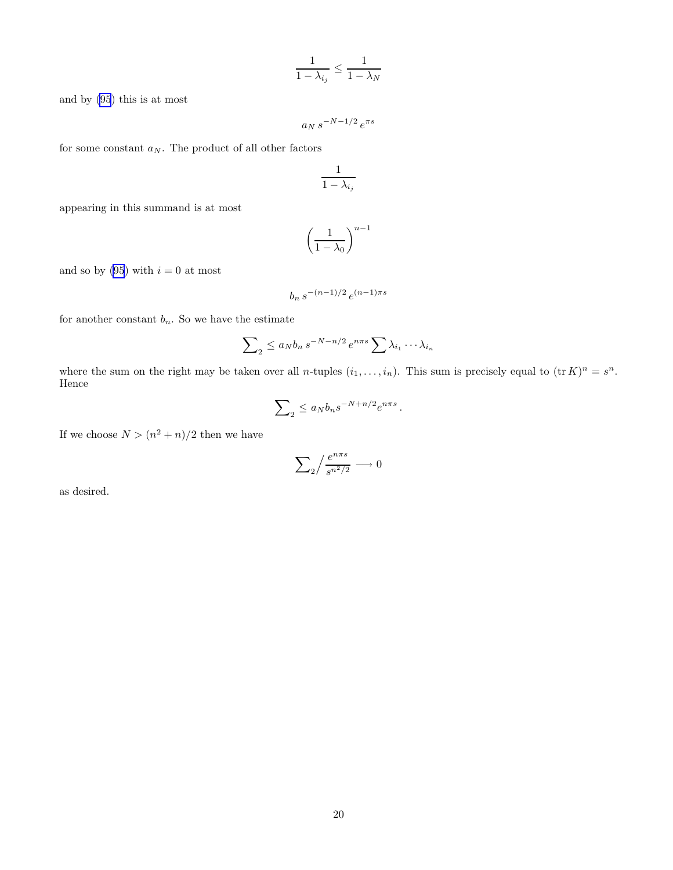$$
\frac{1}{1-\lambda_{i_j}} \le \frac{1}{1-\lambda_N}
$$

and by [\(95](#page-18-0)) this is at most

$$
a_N\,s^{-N-1/2}\,e^{\pi s}
$$

for some constant  $\boldsymbol{a}_N.$  The product of all other factors

$$
\frac{1}{1-\lambda_{i_j}}
$$

appearing in this summand is at most

$$
\left(\frac{1}{1-\lambda_0}\right)^{n-1}
$$

and so by [\(95](#page-18-0)) with  $i = 0$  at most

$$
b_n \, s^{-(n-1)/2} \, e^{(n-1)\pi s}
$$

for another constant  $b_n$ . So we have the estimate

$$
\sum_{2} \le a_{N} b_{n} s^{-N-n/2} e^{n\pi s} \sum_{i} \lambda_{i_{1}} \cdots \lambda_{i_{n}}
$$

where the sum on the right may be taken over all *n*-tuples  $(i_1, \ldots, i_n)$ . This sum is precisely equal to  $(\text{tr } K)^n = s^n$ . Hence

$$
\sum_{2} \le a_N b_n s^{-N + n/2} e^{n\pi s}
$$

.

If we choose  $N > (n^2 + n)/2$  then we have

$$
\sum_2 \Bigl/ \frac{e^{n\pi s}}{s^{n^2/2}} \longrightarrow 0
$$

as desired.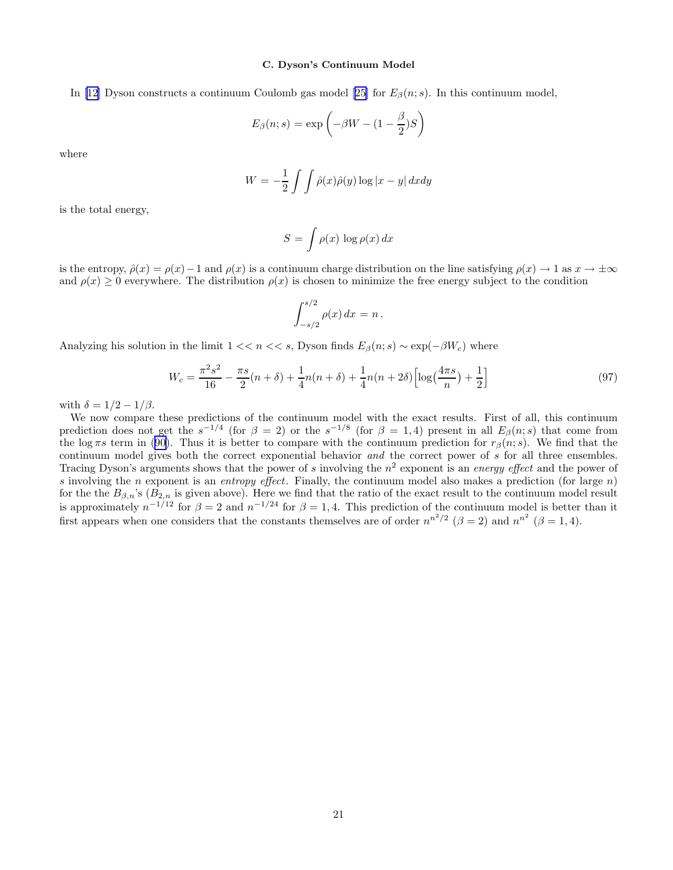## C. Dyson's Continuum Model

In [\[12](#page-21-0)] Dyson constructs a continuum Coulomb gas model [\[25](#page-21-0)] for  $E_\beta(n; s)$ . In this continuum model,

$$
E_{\beta}(n; s) = \exp\left(-\beta W - (1 - \frac{\beta}{2})S\right)
$$

where

$$
W = -\frac{1}{2} \int \int \hat{\rho}(x)\hat{\rho}(y) \log|x - y| \, dxdy
$$

is the total energy,

$$
S = \int \rho(x) \, \log \rho(x) \, dx
$$

is the entropy,  $\hat{\rho}(x) = \rho(x) - 1$  and  $\rho(x)$  is a continuum charge distribution on the line satisfying  $\rho(x) \to 1$  as  $x \to \pm \infty$ and  $\rho(x) \geq 0$  everywhere. The distribution  $\rho(x)$  is chosen to minimize the free energy subject to the condition

$$
\int_{-s/2}^{s/2} \rho(x) dx = n.
$$

Analyzing his solution in the limit  $1 \lt k s$ , Dyson finds  $E_\beta(n; s) \sim \exp(-\beta W_c)$  where

$$
W_c = \frac{\pi^2 s^2}{16} - \frac{\pi s}{2} (n+\delta) + \frac{1}{4} n(n+\delta) + \frac{1}{4} n(n+2\delta) \left[ \log(\frac{4\pi s}{n}) + \frac{1}{2} \right]
$$
(97)

with  $\delta = 1/2 - 1/\beta$ .

We now compare these predictions of the continuum model with the exact results. First of all, this continuum prediction does not get the  $s^{-1/4}$  (for  $\beta = 2$ ) or the  $s^{-1/8}$  (for  $\beta = 1, 4$ ) present in all  $E_{\beta}(n; s)$  that come from thelog πs term in ([90\)](#page-17-0). Thus it is better to compare with the continuum prediction for  $r_\beta(n; s)$ . We find that the continuum model gives both the correct exponential behavior and the correct power of s for all three ensembles. Tracing Dyson's arguments shows that the power of s involving the  $n^2$  exponent is an energy effect and the power of s involving the n exponent is an entropy effect. Finally, the continuum model also makes a prediction (for large  $n$ ) for the the  $B_{\beta,n}$ 's ( $B_{2,n}$  is given above). Here we find that the ratio of the exact result to the continuum model result is approximately  $n^{-1/12}$  for  $\beta = 2$  and  $n^{-1/24}$  for  $\beta = 1, 4$ . This prediction of the continuum model is better than it first appears when one considers that the constants themselves are of order  $n^{n^2/2}$  ( $\beta = 2$ ) and  $n^{n^2}$  ( $\beta = 1, 4$ ).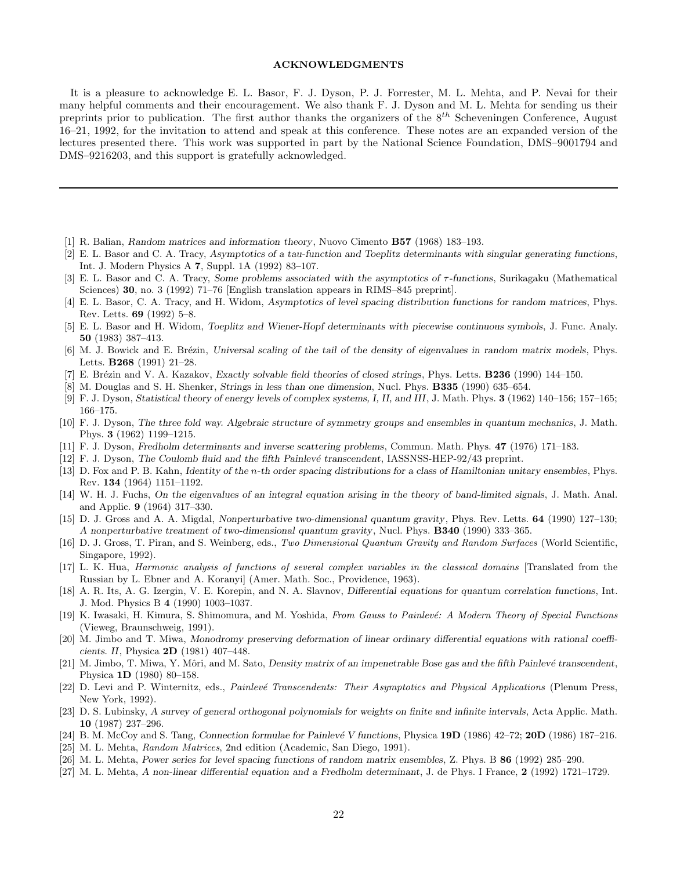### ACKNOWLEDGMENTS

<span id="page-21-0"></span>It is a pleasure to acknowledge E. L. Basor, F. J. Dyson, P. J. Forrester, M. L. Mehta, and P. Nevai for their many helpful comments and their encouragement. We also thank F. J. Dyson and M. L. Mehta for sending us their preprints prior to publication. The first author thanks the organizers of the  $8^{th}$  Scheveningen Conference, August 16–21, 1992, for the invitation to attend and speak at this conference. These notes are an expanded version of the lectures presented there. This work was supported in part by the National Science Foundation, DMS–9001794 and DMS–9216203, and this support is gratefully acknowledged.

- [1] R. Balian, Random matrices and information theory, Nuovo Cimento B57 (1968) 183–193.
- [2] E. L. Basor and C. A. Tracy, Asymptotics of a tau-function and Toeplitz determinants with singular generating functions, Int. J. Modern Physics A 7, Suppl. 1A (1992) 83–107.
- [3] E. L. Basor and C. A. Tracy, Some problems associated with the asymptotics of  $\tau$ -functions, Surikagaku (Mathematical Sciences) 30, no. 3 (1992) 71–76 [English translation appears in RIMS–845 preprint].
- [4] E. L. Basor, C. A. Tracy, and H. Widom, Asymptotics of level spacing distribution functions for random matrices, Phys. Rev. Letts. 69 (1992) 5–8.
- [5] E. L. Basor and H. Widom, Toeplitz and Wiener-Hopf determinants with piecewise continuous symbols, J. Func. Analy. 50 (1983) 387–413.
- [6] M. J. Bowick and E. Brézin, Universal scaling of the tail of the density of eigenvalues in random matrix models, Phys. Letts. B268 (1991) 21–28.
- [7] E. Brézin and V. A. Kazakov, Exactly solvable field theories of closed strings, Phys. Letts. **B236** (1990) 144–150.
- [8] M. Douglas and S. H. Shenker, Strings in less than one dimension, Nucl. Phys. B335 (1990) 635–654.
- [9] F. J. Dyson, Statistical theory of energy levels of complex systems, I, II, and III, J. Math. Phys. 3 (1962) 140–156; 157–165; 166–175.
- [10] F. J. Dyson, The three fold way. Algebraic structure of symmetry groups and ensembles in quantum mechanics, J. Math. Phys. 3 (1962) 1199–1215.
- [11] F. J. Dyson, Fredholm determinants and inverse scattering problems, Commun. Math. Phys. 47 (1976) 171–183.
- [12] F. J. Dyson, The Coulomb fluid and the fifth Painlevé transcendent, IASSNSS-HEP-92/43 preprint.
- [13] D. Fox and P. B. Kahn, Identity of the n-th order spacing distributions for a class of Hamiltonian unitary ensembles, Phys. Rev. 134 (1964) 1151–1192.
- [14] W. H. J. Fuchs, On the eigenvalues of an integral equation arising in the theory of band-limited signals, J. Math. Anal. and Applic. 9 (1964) 317–330.
- [15] D. J. Gross and A. A. Migdal, Nonperturbative two-dimensional quantum gravity, Phys. Rev. Letts. 64 (1990) 127–130; A nonperturbative treatment of two-dimensional quantum gravity, Nucl. Phys. B340 (1990) 333–365.
- [16] D. J. Gross, T. Piran, and S. Weinberg, eds., *Two Dimensional Quantum Gravity and Random Surfaces* (World Scientific, Singapore, 1992).
- [17] L. K. Hua, *Harmonic analysis of functions of several complex variables in the classical domains* [Translated from the Russian by L. Ebner and A. Koranyi] (Amer. Math. Soc., Providence, 1963).
- [18] A. R. Its, A. G. Izergin, V. E. Korepin, and N. A. Slavnov, Differential equations for quantum correlation functions, Int. J. Mod. Physics B 4 (1990) 1003–1037.
- [19] K. Iwasaki, H. Kimura, S. Shimomura, and M. Yoshida, *From Gauss to Painlev´e: A Modern Theory of Special Functions* (Vieweg, Braunschweig, 1991).
- [20] M. Jimbo and T. Miwa, Monodromy preserving deformation of linear ordinary differential equations with rational coefficients. II, Physica 2D (1981) 407–448.
- [21] M. Jimbo, T. Miwa, Y. Môri, and M. Sato, Density matrix of an impenetrable Bose gas and the fifth Painlevé transcendent, Physica 1D (1980) 80–158.
- [22] D. Levi and P. Winternitz, eds., *Painlevé Transcendents: Their Asymptotics and Physical Applications* (Plenum Press, New York, 1992).
- [23] D. S. Lubinsky, A survey of general orthogonal polynomials for weights on finite and infinite intervals, Acta Applic. Math. 10 (1987) 237–296.
- [24] B. M. McCoy and S. Tang, Connection formulae for Painlevé V functions, Physica  $19D(1986)$   $42-72$ ;  $20D(1986)$   $187-216$ .
- [25] M. L. Mehta, *Random Matrices*, 2nd edition (Academic, San Diego, 1991).
- [26] M. L. Mehta, Power series for level spacing functions of random matrix ensembles, Z. Phys. B 86 (1992) 285–290.
- [27] M. L. Mehta, A non-linear differential equation and a Fredholm determinant, J. de Phys. I France, 2 (1992) 1721–1729.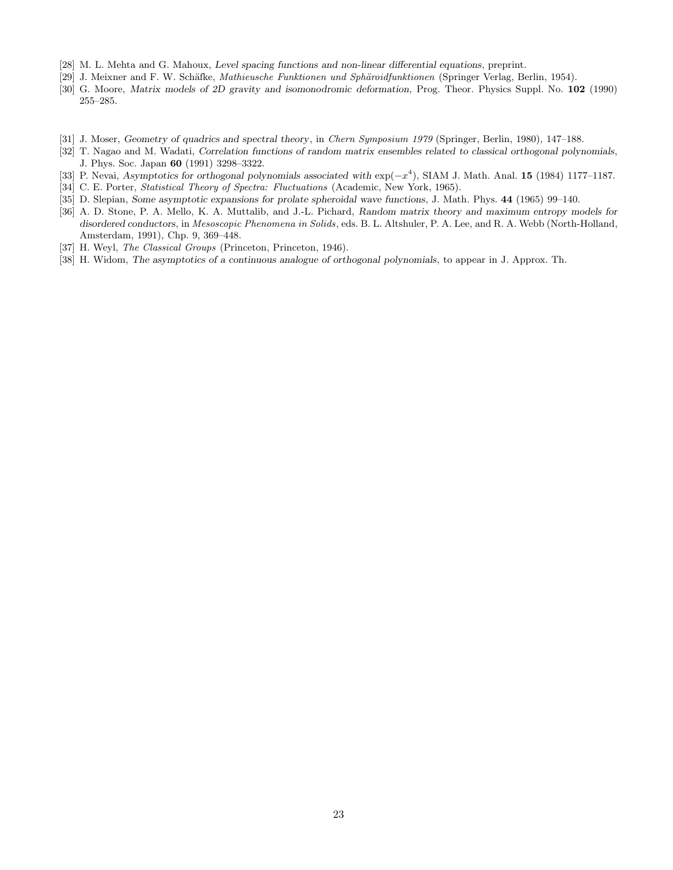- <span id="page-22-0"></span>[28] M. L. Mehta and G. Mahoux, Level spacing functions and non-linear differential equations, preprint.
- [29] J. Meixner and F. W. Sch¨afke, *Mathieusche Funktionen und Sph¨aroidfunktionen* (Springer Verlag, Berlin, 1954).
- [30] G. Moore, Matrix models of 2D gravity and isomonodromic deformation, Prog. Theor. Physics Suppl. No. 102 (1990) 255–285.
- [31] J. Moser, Geometry of quadrics and spectral theory, in *Chern Symposium 1979* (Springer, Berlin, 1980), 147–188.
- [32] T. Nagao and M. Wadati, Correlation functions of random matrix ensembles related to classical orthogonal polynomials, J. Phys. Soc. Japan 60 (1991) 3298–3322.
- [33] P. Nevai, Asymptotics for orthogonal polynomials associated with exp(−x 4 ), SIAM J. Math. Anal. 15 (1984) 1177–1187.
- [34] C. E. Porter, *Statistical Theory of Spectra: Fluctuations* (Academic, New York, 1965).
- [35] D. Slepian, Some asymptotic expansions for prolate spheroidal wave functions, J. Math. Phys. 44 (1965) 99–140.
- [36] A. D. Stone, P. A. Mello, K. A. Muttalib, and J.-L. Pichard, Random matrix theory and maximum entropy models for disordered conductors, in *Mesoscopic Phenomena in Solids*, eds. B. L. Altshuler, P. A. Lee, and R. A. Webb (North-Holland, Amsterdam, 1991), Chp. 9, 369–448.
- [37] H. Weyl, *The Classical Groups* (Princeton, Princeton, 1946).
- [38] H. Widom, The asymptotics of a continuous analogue of orthogonal polynomials, to appear in J. Approx. Th.